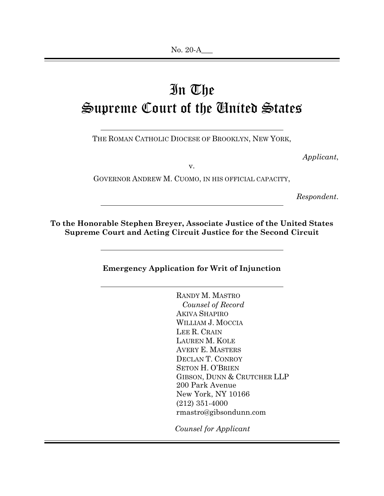# In The Supreme Court of the United States

THE ROMAN CATHOLIC DIOCESE OF BROOKLYN, NEW YORK,

*Applicant*,

v.

GOVERNOR ANDREW M. CUOMO, IN HIS OFFICIAL CAPACITY,

*Respondent*.

**To the Honorable Stephen Breyer, Associate Justice of the United States Supreme Court and Acting Circuit Justice for the Second Circuit** 

**Emergency Application for Writ of Injunction** 

RANDY M. MASTRO *Counsel of Record* AKIVA SHAPIRO WILLIAM J. MOCCIA LEE R. CRAIN LAUREN M. KOLE AVERY E. MASTERS DECLAN T. CONROY SETON H. O'BRIEN GIBSON, DUNN & CRUTCHER LLP 200 Park Avenue New York, NY 10166 (212) 351-4000 rmastro@gibsondunn.com

 *Counsel for Applicant*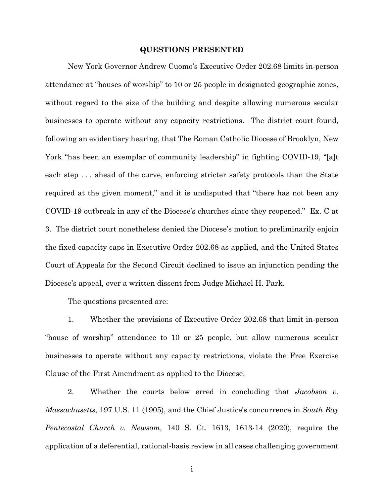#### **QUESTIONS PRESENTED**

New York Governor Andrew Cuomo's Executive Order 202.68 limits in-person attendance at "houses of worship" to 10 or 25 people in designated geographic zones, without regard to the size of the building and despite allowing numerous secular businesses to operate without any capacity restrictions. The district court found, following an evidentiary hearing, that The Roman Catholic Diocese of Brooklyn, New York "has been an exemplar of community leadership" in fighting COVID-19, "[a]t each step . . . ahead of the curve, enforcing stricter safety protocols than the State required at the given moment," and it is undisputed that "there has not been any COVID-19 outbreak in any of the Diocese's churches since they reopened." Ex. C at 3. The district court nonetheless denied the Diocese's motion to preliminarily enjoin the fixed-capacity caps in Executive Order 202.68 as applied, and the United States Court of Appeals for the Second Circuit declined to issue an injunction pending the Diocese's appeal, over a written dissent from Judge Michael H. Park.

The questions presented are:

1. Whether the provisions of Executive Order 202.68 that limit in-person "house of worship" attendance to 10 or 25 people, but allow numerous secular businesses to operate without any capacity restrictions, violate the Free Exercise Clause of the First Amendment as applied to the Diocese.

2. Whether the courts below erred in concluding that *Jacobson v. Massachusetts*, 197 U.S. 11 (1905), and the Chief Justice's concurrence in *South Bay Pentecostal Church v. Newsom*, 140 S. Ct. 1613, 1613-14 (2020), require the application of a deferential, rational-basis review in all cases challenging government

i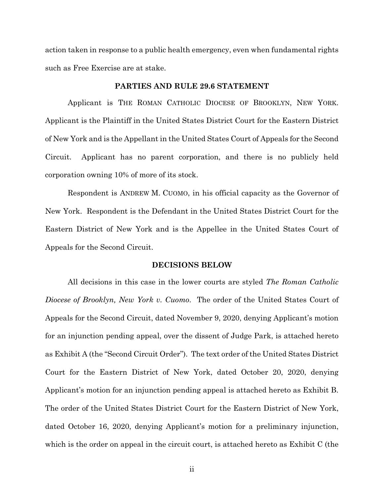action taken in response to a public health emergency, even when fundamental rights such as Free Exercise are at stake.

## **PARTIES AND RULE 29.6 STATEMENT**

Applicant is THE ROMAN CATHOLIC DIOCESE OF BROOKLYN, NEW YORK. Applicant is the Plaintiff in the United States District Court for the Eastern District of New York and is the Appellant in the United States Court of Appeals for the Second Circuit. Applicant has no parent corporation, and there is no publicly held corporation owning 10% of more of its stock.

Respondent is ANDREW M. CUOMO, in his official capacity as the Governor of New York. Respondent is the Defendant in the United States District Court for the Eastern District of New York and is the Appellee in the United States Court of Appeals for the Second Circuit.

#### **DECISIONS BELOW**

All decisions in this case in the lower courts are styled *The Roman Catholic Diocese of Brooklyn, New York v. Cuomo*. The order of the United States Court of Appeals for the Second Circuit, dated November 9, 2020, denying Applicant's motion for an injunction pending appeal, over the dissent of Judge Park, is attached hereto as Exhibit A (the "Second Circuit Order"). The text order of the United States District Court for the Eastern District of New York, dated October 20, 2020, denying Applicant's motion for an injunction pending appeal is attached hereto as Exhibit B. The order of the United States District Court for the Eastern District of New York, dated October 16, 2020, denying Applicant's motion for a preliminary injunction, which is the order on appeal in the circuit court, is attached hereto as Exhibit C (the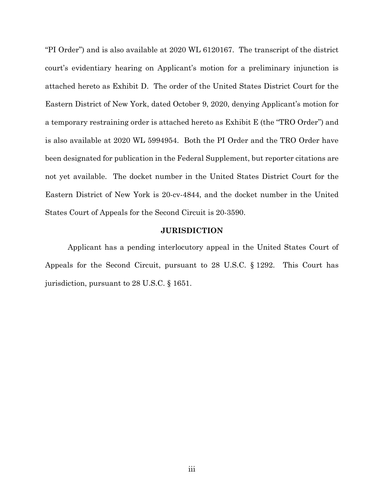"PI Order") and is also available at 2020 WL 6120167. The transcript of the district court's evidentiary hearing on Applicant's motion for a preliminary injunction is attached hereto as Exhibit D. The order of the United States District Court for the Eastern District of New York, dated October 9, 2020, denying Applicant's motion for a temporary restraining order is attached hereto as Exhibit E (the "TRO Order") and is also available at 2020 WL 5994954. Both the PI Order and the TRO Order have been designated for publication in the Federal Supplement, but reporter citations are not yet available. The docket number in the United States District Court for the Eastern District of New York is 20-cv-4844, and the docket number in the United States Court of Appeals for the Second Circuit is 20-3590.

#### **JURISDICTION**

Applicant has a pending interlocutory appeal in the United States Court of Appeals for the Second Circuit, pursuant to 28 U.S.C. § 1292. This Court has jurisdiction, pursuant to 28 U.S.C. § 1651.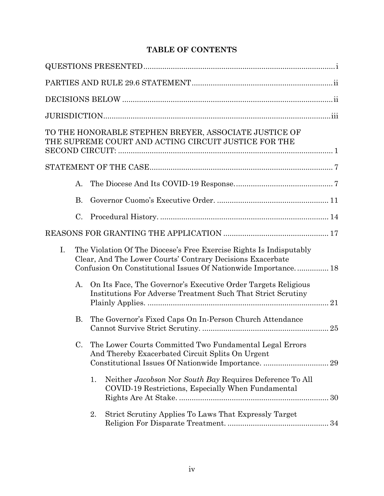# **TABLE OF CONTENTS**

|             | TO THE HONORABLE STEPHEN BREYER, ASSOCIATE JUSTICE OF<br>THE SUPREME COURT AND ACTING CIRCUIT JUSTICE FOR THE                                                                                       |  |
|-------------|-----------------------------------------------------------------------------------------------------------------------------------------------------------------------------------------------------|--|
|             |                                                                                                                                                                                                     |  |
| А.          |                                                                                                                                                                                                     |  |
| <b>B.</b>   |                                                                                                                                                                                                     |  |
| C.          |                                                                                                                                                                                                     |  |
|             |                                                                                                                                                                                                     |  |
| $I_{\cdot}$ | The Violation Of The Diocese's Free Exercise Rights Is Indisputably<br>Clear, And The Lower Courts' Contrary Decisions Exacerbate<br>Confusion On Constitutional Issues Of Nationwide Importance 18 |  |
| A.          | On Its Face, The Governor's Executive Order Targets Religious<br><b>Institutions For Adverse Treatment Such That Strict Scrutiny</b>                                                                |  |
| <b>B.</b>   | The Governor's Fixed Caps On In-Person Church Attendance                                                                                                                                            |  |
| C.          | The Lower Courts Committed Two Fundamental Legal Errors<br>And Thereby Exacerbated Circuit Splits On Urgent                                                                                         |  |
|             | Neither Jacobson Nor South Bay Requires Deference To All<br>1.<br>COVID-19 Restrictions, Especially When Fundamental                                                                                |  |
|             | Strict Scrutiny Applies To Laws That Expressly Target<br>2.                                                                                                                                         |  |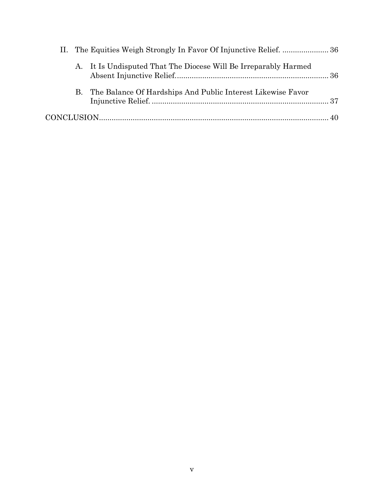|  | A. It Is Undisputed That The Diocese Will Be Irreparably Harmed |  |
|--|-----------------------------------------------------------------|--|
|  | B. The Balance Of Hardships And Public Interest Likewise Favor  |  |
|  |                                                                 |  |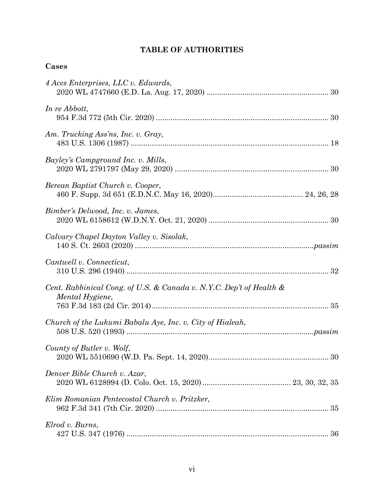# **TABLE OF AUTHORITIES**

| .s<br>ு.<br>н |
|---------------|
|---------------|

| 4 Aces Enterprises, LLC v. Edwards,                                                    |
|----------------------------------------------------------------------------------------|
| In re Abbott,                                                                          |
| Am. Trucking Ass'ns, Inc. v. Gray,                                                     |
| Bayley's Campground Inc. v. Mills,                                                     |
| Berean Baptist Church v. Cooper,                                                       |
| Bimber's Delwood, Inc. v. James,                                                       |
| Calvary Chapel Dayton Valley v. Sisolak,                                               |
| Cantwell v. Connecticut,                                                               |
| Cent. Rabbinical Cong. of U.S. & Canada v. N.Y.C. Dep't of Health &<br>Mental Hygiene, |
| Church of the Lukumi Babalu Aye, Inc. v. City of Hialeah,                              |
| County of Butler v. Wolf,<br>30                                                        |
| Denver Bible Church v. Azar,                                                           |
| Elim Romanian Pentecostal Church v. Pritzker,                                          |
| Elrod v. Burns,                                                                        |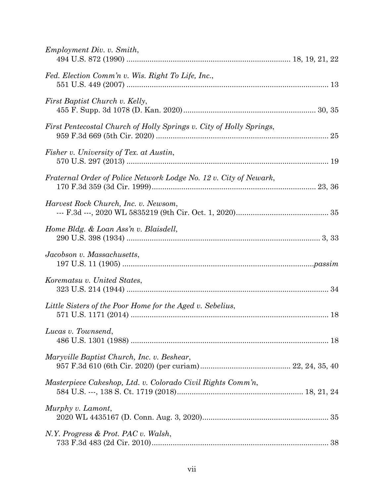| Employment Div. v. Smith,                                           |  |
|---------------------------------------------------------------------|--|
| Fed. Election Comm'n v. Wis. Right To Life, Inc.,                   |  |
| First Baptist Church v. Kelly,                                      |  |
| First Pentecostal Church of Holly Springs v. City of Holly Springs, |  |
| Fisher v. University of Tex. at Austin,                             |  |
| Fraternal Order of Police Network Lodge No. 12 v. City of Newark,   |  |
| Harvest Rock Church, Inc. v. Newsom,                                |  |
| Home Bldg. & Loan Ass'n v. Blaisdell,                               |  |
| Jacobson v. Massachusetts,                                          |  |
| Korematsu v. United States,                                         |  |
| Little Sisters of the Poor Home for the Aged v. Sebelius,           |  |
| Lucas v. Townsend,                                                  |  |
| Maryville Baptist Church, Inc. v. Beshear,                          |  |
| Masterpiece Cakeshop, Ltd. v. Colorado Civil Rights Comm'n,         |  |
| Murphy v. Lamont,                                                   |  |
| N.Y. Progress & Prot. PAC v. Walsh,                                 |  |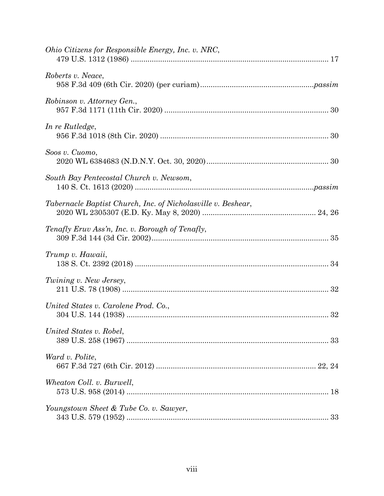| Ohio Citizens for Responsible Energy, Inc. v. NRC,           |
|--------------------------------------------------------------|
| Roberts v. Neace,                                            |
| Robinson v. Attorney Gen.,                                   |
| In re Rutledge,                                              |
| Soos v. Cuomo,                                               |
| South Bay Pentecostal Church v. Newsom,                      |
| Tabernacle Baptist Church, Inc. of Nicholasville v. Beshear, |
| Tenafly Eruv Ass'n, Inc. v. Borough of Tenafly,              |
| Trump v. Hawaii,                                             |
| Twining v. New Jersey,                                       |
| United States v. Carolene Prod. Co.,                         |
| United States v. Robel,                                      |
| Ward v. Polite,                                              |
| Wheaton Coll. v. Burwell,                                    |
| Youngstown Sheet & Tube Co. v. Sawyer,                       |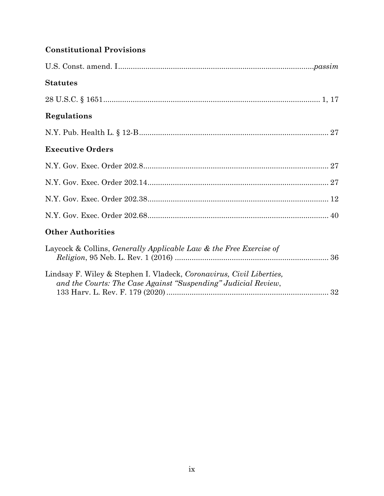# **Constitutional Provisions**

| <b>Statutes</b>                                                                                                                        |
|----------------------------------------------------------------------------------------------------------------------------------------|
|                                                                                                                                        |
| Regulations                                                                                                                            |
|                                                                                                                                        |
| <b>Executive Orders</b>                                                                                                                |
|                                                                                                                                        |
|                                                                                                                                        |
|                                                                                                                                        |
|                                                                                                                                        |
| <b>Other Authorities</b>                                                                                                               |
| Laycock & Collins, <i>Generally Applicable Law &amp; the Free Exercise of</i>                                                          |
| Lindsay F. Wiley & Stephen I. Vladeck, Coronavirus, Civil Liberties,<br>and the Courts: The Case Against "Suspending" Judicial Review, |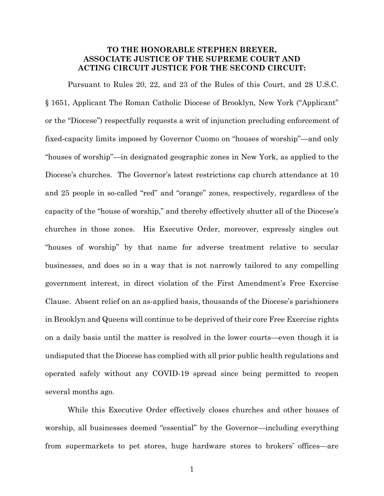## **TO THE HONORABLE STEPHEN BREYER, ASSOCIATE JUSTICE OF THE SUPREME COURT AND ACTING CIRCUIT JUSTICE FOR THE SECOND CIRCUIT:**

Pursuant to Rules 20, 22, and 23 of the Rules of this Court, and 28 U.S.C. § 1651, Applicant The Roman Catholic Diocese of Brooklyn, New York ("Applicant" or the "Diocese") respectfully requests a writ of injunction precluding enforcement of fixed-capacity limits imposed by Governor Cuomo on "houses of worship"—and only "houses of worship"—in designated geographic zones in New York, as applied to the Diocese's churches. The Governor's latest restrictions cap church attendance at 10 and 25 people in so-called "red" and "orange" zones, respectively, regardless of the capacity of the "house of worship," and thereby effectively shutter all of the Diocese's churches in those zones. His Executive Order, moreover, expressly singles out "houses of worship" by that name for adverse treatment relative to secular businesses, and does so in a way that is not narrowly tailored to any compelling government interest, in direct violation of the First Amendment's Free Exercise Clause. Absent relief on an as-applied basis, thousands of the Diocese's parishioners in Brooklyn and Queens will continue to be deprived of their core Free Exercise rights on a daily basis until the matter is resolved in the lower courts—even though it is undisputed that the Diocese has complied with all prior public health regulations and operated safely without any COVID-19 spread since being permitted to reopen several months ago.

While this Executive Order effectively closes churches and other houses of worship, all businesses deemed "essential" by the Governor—including everything from supermarkets to pet stores, huge hardware stores to brokers' offices—are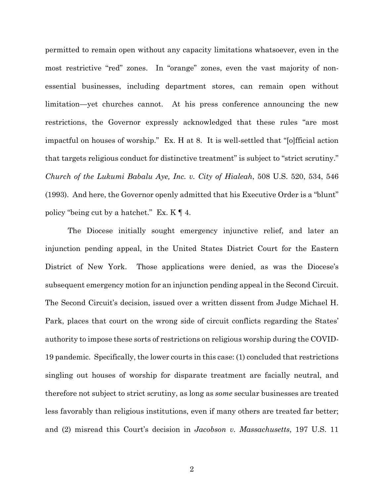permitted to remain open without any capacity limitations whatsoever, even in the most restrictive "red" zones. In "orange" zones, even the vast majority of nonessential businesses, including department stores, can remain open without limitation—yet churches cannot. At his press conference announcing the new restrictions, the Governor expressly acknowledged that these rules "are most impactful on houses of worship." Ex. H at 8. It is well-settled that "[o]fficial action that targets religious conduct for distinctive treatment" is subject to "strict scrutiny." *Church of the Lukumi Babalu Aye, Inc. v. City of Hialeah*, 508 U.S. 520, 534, 546 (1993). And here, the Governor openly admitted that his Executive Order is a "blunt" policy "being cut by a hatchet." Ex. K ¶ 4.

The Diocese initially sought emergency injunctive relief, and later an injunction pending appeal, in the United States District Court for the Eastern District of New York. Those applications were denied, as was the Diocese's subsequent emergency motion for an injunction pending appeal in the Second Circuit. The Second Circuit's decision, issued over a written dissent from Judge Michael H. Park, places that court on the wrong side of circuit conflicts regarding the States' authority to impose these sorts of restrictions on religious worship during the COVID-19 pandemic. Specifically, the lower courts in this case: (1) concluded that restrictions singling out houses of worship for disparate treatment are facially neutral, and therefore not subject to strict scrutiny, as long as *some* secular businesses are treated less favorably than religious institutions, even if many others are treated far better; and (2) misread this Court's decision in *Jacobson v. Massachusetts*, 197 U.S. 11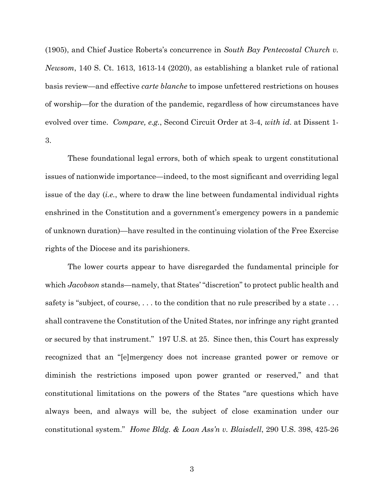(1905), and Chief Justice Roberts's concurrence in *South Bay Pentecostal Church v. Newsom*, 140 S. Ct. 1613, 1613-14 (2020), as establishing a blanket rule of rational basis review—and effective *carte blanche* to impose unfettered restrictions on houses of worship—for the duration of the pandemic, regardless of how circumstances have evolved over time. *Compare, e.g.*, Second Circuit Order at 3-4, *with id*. at Dissent 1- 3.

These foundational legal errors, both of which speak to urgent constitutional issues of nationwide importance—indeed, to the most significant and overriding legal issue of the day (*i.e.*, where to draw the line between fundamental individual rights enshrined in the Constitution and a government's emergency powers in a pandemic of unknown duration)—have resulted in the continuing violation of the Free Exercise rights of the Diocese and its parishioners.

The lower courts appear to have disregarded the fundamental principle for which *Jacobson* stands—namely, that States' "discretion" to protect public health and safety is "subject, of course, ... to the condition that no rule prescribed by a state... shall contravene the Constitution of the United States, nor infringe any right granted or secured by that instrument." 197 U.S. at 25. Since then, this Court has expressly recognized that an "[e]mergency does not increase granted power or remove or diminish the restrictions imposed upon power granted or reserved," and that constitutional limitations on the powers of the States "are questions which have always been, and always will be, the subject of close examination under our constitutional system." *Home Bldg. & Loan Ass'n v. Blaisdell*, 290 U.S. 398, 425-26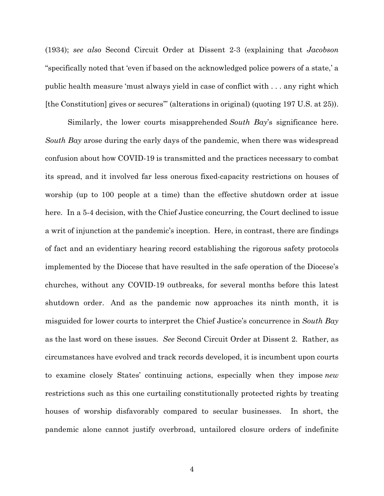(1934); *see also* Second Circuit Order at Dissent 2-3 (explaining that *Jacobson* "specifically noted that 'even if based on the acknowledged police powers of a state,' a public health measure 'must always yield in case of conflict with . . . any right which [the Constitution] gives or secures'" (alterations in original) (quoting 197 U.S. at 25)).

Similarly, the lower courts misapprehended *South Bay*'s significance here. *South Bay* arose during the early days of the pandemic, when there was widespread confusion about how COVID-19 is transmitted and the practices necessary to combat its spread, and it involved far less onerous fixed-capacity restrictions on houses of worship (up to 100 people at a time) than the effective shutdown order at issue here. In a 5-4 decision, with the Chief Justice concurring, the Court declined to issue a writ of injunction at the pandemic's inception. Here, in contrast, there are findings of fact and an evidentiary hearing record establishing the rigorous safety protocols implemented by the Diocese that have resulted in the safe operation of the Diocese's churches, without any COVID-19 outbreaks, for several months before this latest shutdown order. And as the pandemic now approaches its ninth month, it is misguided for lower courts to interpret the Chief Justice's concurrence in *South Bay* as the last word on these issues. *See* Second Circuit Order at Dissent 2. Rather, as circumstances have evolved and track records developed, it is incumbent upon courts to examine closely States' continuing actions, especially when they impose *new*  restrictions such as this one curtailing constitutionally protected rights by treating houses of worship disfavorably compared to secular businesses. In short, the pandemic alone cannot justify overbroad, untailored closure orders of indefinite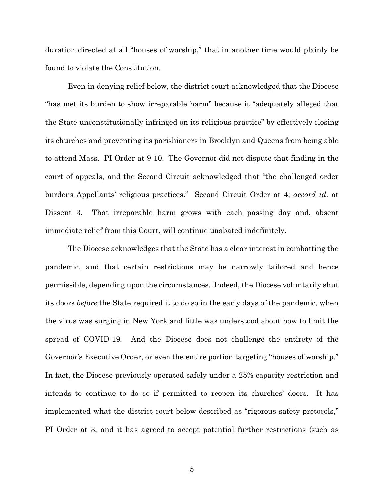duration directed at all "houses of worship," that in another time would plainly be found to violate the Constitution.

Even in denying relief below, the district court acknowledged that the Diocese "has met its burden to show irreparable harm" because it "adequately alleged that the State unconstitutionally infringed on its religious practice" by effectively closing its churches and preventing its parishioners in Brooklyn and Queens from being able to attend Mass. PI Order at 9-10. The Governor did not dispute that finding in the court of appeals, and the Second Circuit acknowledged that "the challenged order burdens Appellants' religious practices." Second Circuit Order at 4; *accord id*. at Dissent 3. That irreparable harm grows with each passing day and, absent immediate relief from this Court, will continue unabated indefinitely.

The Diocese acknowledges that the State has a clear interest in combatting the pandemic, and that certain restrictions may be narrowly tailored and hence permissible, depending upon the circumstances. Indeed, the Diocese voluntarily shut its doors *before* the State required it to do so in the early days of the pandemic, when the virus was surging in New York and little was understood about how to limit the spread of COVID-19. And the Diocese does not challenge the entirety of the Governor's Executive Order, or even the entire portion targeting "houses of worship." In fact, the Diocese previously operated safely under a 25% capacity restriction and intends to continue to do so if permitted to reopen its churches' doors. It has implemented what the district court below described as "rigorous safety protocols," PI Order at 3, and it has agreed to accept potential further restrictions (such as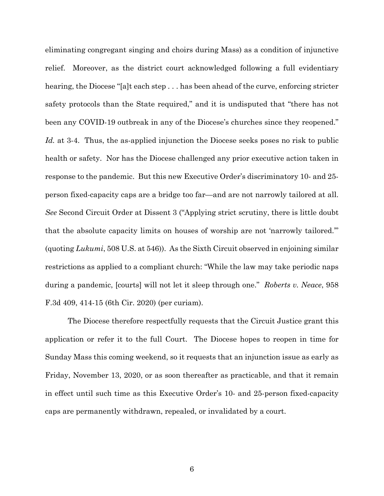eliminating congregant singing and choirs during Mass) as a condition of injunctive relief. Moreover, as the district court acknowledged following a full evidentiary hearing, the Diocese "[a]t each step . . . has been ahead of the curve, enforcing stricter safety protocols than the State required," and it is undisputed that "there has not been any COVID-19 outbreak in any of the Diocese's churches since they reopened." *Id.* at 3-4. Thus, the as-applied injunction the Diocese seeks poses no risk to public health or safety. Nor has the Diocese challenged any prior executive action taken in response to the pandemic. But this new Executive Order's discriminatory 10- and 25 person fixed-capacity caps are a bridge too far—and are not narrowly tailored at all. *See* Second Circuit Order at Dissent 3 ("Applying strict scrutiny, there is little doubt that the absolute capacity limits on houses of worship are not 'narrowly tailored.'" (quoting *Lukumi*, 508 U.S. at 546)). As the Sixth Circuit observed in enjoining similar restrictions as applied to a compliant church: "While the law may take periodic naps during a pandemic, [courts] will not let it sleep through one." *Roberts v. Neace*, 958 F.3d 409, 414-15 (6th Cir. 2020) (per curiam).

The Diocese therefore respectfully requests that the Circuit Justice grant this application or refer it to the full Court. The Diocese hopes to reopen in time for Sunday Mass this coming weekend, so it requests that an injunction issue as early as Friday, November 13, 2020, or as soon thereafter as practicable, and that it remain in effect until such time as this Executive Order's 10- and 25-person fixed-capacity caps are permanently withdrawn, repealed, or invalidated by a court.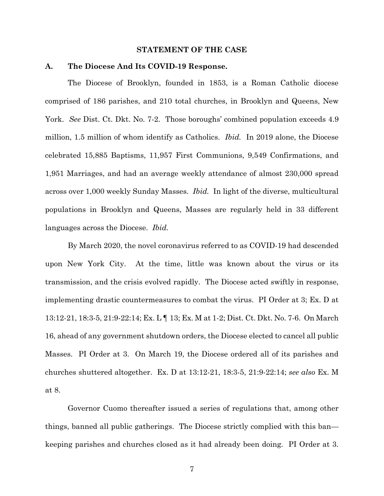#### **STATEMENT OF THE CASE**

#### **A. The Diocese And Its COVID-19 Response.**

The Diocese of Brooklyn, founded in 1853, is a Roman Catholic diocese comprised of 186 parishes, and 210 total churches, in Brooklyn and Queens, New York. *See* Dist. Ct. Dkt. No. 7-2. Those boroughs' combined population exceeds 4.9 million, 1.5 million of whom identify as Catholics. *Ibid.* In 2019 alone, the Diocese celebrated 15,885 Baptisms, 11,957 First Communions, 9,549 Confirmations, and 1,951 Marriages, and had an average weekly attendance of almost 230,000 spread across over 1,000 weekly Sunday Masses. *Ibid.* In light of the diverse, multicultural populations in Brooklyn and Queens, Masses are regularly held in 33 different languages across the Diocese. *Ibid.*

By March 2020, the novel coronavirus referred to as COVID-19 had descended upon New York City. At the time, little was known about the virus or its transmission, and the crisis evolved rapidly. The Diocese acted swiftly in response, implementing drastic countermeasures to combat the virus. PI Order at 3; Ex. D at 13:12-21, 18:3-5, 21:9-22:14; Ex. L ¶ 13; Ex. M at 1-2; Dist. Ct. Dkt. No. 7-6. On March 16, ahead of any government shutdown orders, the Diocese elected to cancel all public Masses. PI Order at 3. On March 19, the Diocese ordered all of its parishes and churches shuttered altogether. Ex. D at 13:12-21, 18:3-5, 21:9-22:14; *see also* Ex. M at 8.

Governor Cuomo thereafter issued a series of regulations that, among other things, banned all public gatherings. The Diocese strictly complied with this ban keeping parishes and churches closed as it had already been doing. PI Order at 3.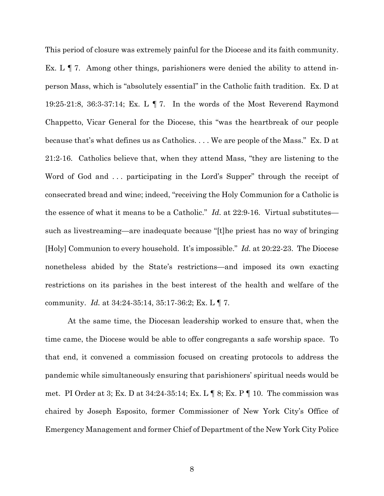This period of closure was extremely painful for the Diocese and its faith community. Ex. L  $\P$  7. Among other things, parishioners were denied the ability to attend inperson Mass, which is "absolutely essential" in the Catholic faith tradition. Ex. D at 19:25-21:8, 36:3-37:14; Ex. L ¶ 7. In the words of the Most Reverend Raymond Chappetto, Vicar General for the Diocese, this "was the heartbreak of our people because that's what defines us as Catholics. . . . We are people of the Mass." Ex. D at 21:2-16. Catholics believe that, when they attend Mass, "they are listening to the Word of God and ... participating in the Lord's Supper" through the receipt of consecrated bread and wine; indeed, "receiving the Holy Communion for a Catholic is the essence of what it means to be a Catholic." *Id.* at 22:9-16. Virtual substitutes such as livestreaming—are inadequate because "[t]he priest has no way of bringing [Holy] Communion to every household. It's impossible." *Id.* at 20:22-23. The Diocese nonetheless abided by the State's restrictions—and imposed its own exacting restrictions on its parishes in the best interest of the health and welfare of the community. *Id.* at 34:24-35:14, 35:17-36:2; Ex. L ¶ 7.

At the same time, the Diocesan leadership worked to ensure that, when the time came, the Diocese would be able to offer congregants a safe worship space. To that end, it convened a commission focused on creating protocols to address the pandemic while simultaneously ensuring that parishioners' spiritual needs would be met. PI Order at 3; Ex. D at  $34:24-35:14$ ; Ex. L  $\P$  8; Ex. P  $\P$  10. The commission was chaired by Joseph Esposito, former Commissioner of New York City's Office of Emergency Management and former Chief of Department of the New York City Police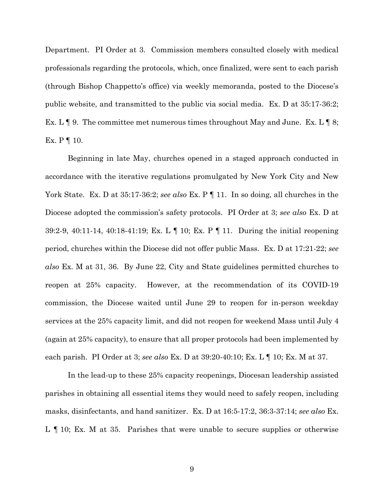Department. PI Order at 3.Commission members consulted closely with medical professionals regarding the protocols, which, once finalized, were sent to each parish (through Bishop Chappetto's office) via weekly memoranda, posted to the Diocese's public website, and transmitted to the public via social media. Ex. D at 35:17-36:2; Ex. L  $\P$  9. The committee met numerous times throughout May and June. Ex. L  $\P$  8; Ex.  $P \parallel 10$ .

Beginning in late May, churches opened in a staged approach conducted in accordance with the iterative regulations promulgated by New York City and New York State. Ex. D at 35:17-36:2; *see also* Ex. P | 11. In so doing, all churches in the Diocese adopted the commission's safety protocols. PI Order at 3; *see also* Ex. D at 39:2-9, 40:11-14, 40:18-41:19; Ex. L ¶ 10; Ex. P ¶ 11. During the initial reopening period, churches within the Diocese did not offer public Mass. Ex. D at 17:21-22; *see also* Ex. M at 31, 36. By June 22, City and State guidelines permitted churches to reopen at 25% capacity. However, at the recommendation of its COVID-19 commission, the Diocese waited until June 29 to reopen for in-person weekday services at the 25% capacity limit, and did not reopen for weekend Mass until July 4 (again at 25% capacity), to ensure that all proper protocols had been implemented by each parish. PI Order at 3; *see also* Ex. D at 39:20-40:10; Ex. L ¶ 10; Ex. M at 37.

In the lead-up to these 25% capacity reopenings, Diocesan leadership assisted parishes in obtaining all essential items they would need to safely reopen, including masks, disinfectants, and hand sanitizer. Ex. D at 16:5-17:2, 36:3-37:14; *see also* Ex. L ¶ 10; Ex. M at 35. Parishes that were unable to secure supplies or otherwise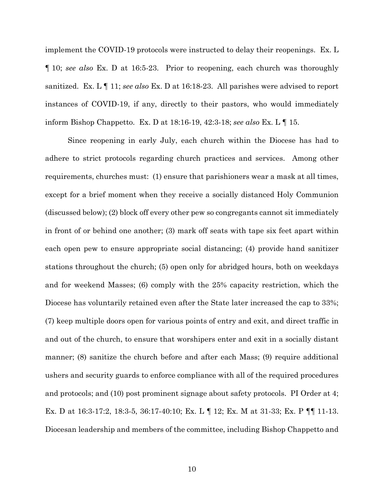implement the COVID-19 protocols were instructed to delay their reopenings. Ex. L ¶ 10; *see also* Ex. D at 16:5-23. Prior to reopening, each church was thoroughly sanitized. Ex. L ¶ 11; *see also* Ex. D at 16:18-23. All parishes were advised to report instances of COVID-19, if any, directly to their pastors, who would immediately inform Bishop Chappetto. Ex. D at 18:16-19, 42:3-18; *see also* Ex. L ¶ 15.

Since reopening in early July, each church within the Diocese has had to adhere to strict protocols regarding church practices and services. Among other requirements, churches must: (1) ensure that parishioners wear a mask at all times, except for a brief moment when they receive a socially distanced Holy Communion (discussed below); (2) block off every other pew so congregants cannot sit immediately in front of or behind one another; (3) mark off seats with tape six feet apart within each open pew to ensure appropriate social distancing; (4) provide hand sanitizer stations throughout the church; (5) open only for abridged hours, both on weekdays and for weekend Masses; (6) comply with the 25% capacity restriction, which the Diocese has voluntarily retained even after the State later increased the cap to 33%; (7) keep multiple doors open for various points of entry and exit, and direct traffic in and out of the church, to ensure that worshipers enter and exit in a socially distant manner; (8) sanitize the church before and after each Mass; (9) require additional ushers and security guards to enforce compliance with all of the required procedures and protocols; and (10) post prominent signage about safety protocols. PI Order at 4; Ex. D at 16:3-17:2, 18:3-5, 36:17-40:10; Ex. L ¶ 12; Ex. M at 31-33; Ex. P ¶¶ 11-13. Diocesan leadership and members of the committee, including Bishop Chappetto and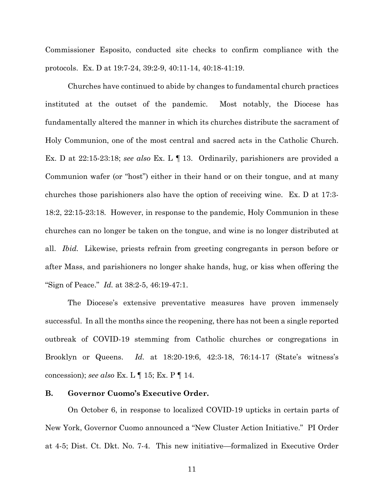Commissioner Esposito, conducted site checks to confirm compliance with the protocols. Ex. D at 19:7-24, 39:2-9, 40:11-14, 40:18-41:19.

Churches have continued to abide by changes to fundamental church practices instituted at the outset of the pandemic. Most notably, the Diocese has fundamentally altered the manner in which its churches distribute the sacrament of Holy Communion, one of the most central and sacred acts in the Catholic Church. Ex. D at 22:15-23:18; *see also* Ex. L ¶ 13. Ordinarily, parishioners are provided a Communion wafer (or "host") either in their hand or on their tongue, and at many churches those parishioners also have the option of receiving wine. Ex. D at 17:3- 18:2, 22:15-23:18*.* However, in response to the pandemic, Holy Communion in these churches can no longer be taken on the tongue, and wine is no longer distributed at all. *Ibid.* Likewise, priests refrain from greeting congregants in person before or after Mass, and parishioners no longer shake hands, hug, or kiss when offering the "Sign of Peace." *Id.* at 38:2-5, 46:19-47:1.

The Diocese's extensive preventative measures have proven immensely successful. In all the months since the reopening, there has not been a single reported outbreak of COVID-19 stemming from Catholic churches or congregations in Brooklyn or Queens. *Id.* at 18:20-19:6, 42:3-18, 76:14-17 (State's witness's concession); *see also* Ex. L ¶ 15; Ex. P ¶ 14.

#### **B. Governor Cuomo's Executive Order.**

On October 6, in response to localized COVID-19 upticks in certain parts of New York, Governor Cuomo announced a "New Cluster Action Initiative." PI Order at 4-5; Dist. Ct. Dkt. No. 7-4. This new initiative—formalized in Executive Order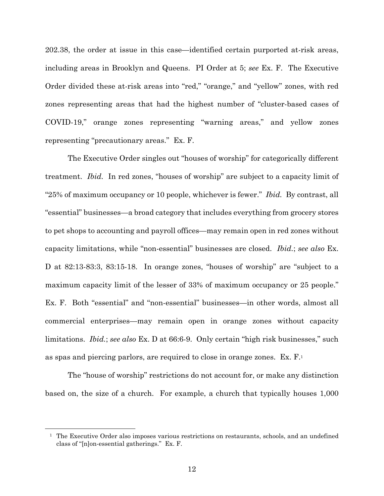202.38, the order at issue in this case—identified certain purported at-risk areas, including areas in Brooklyn and Queens. PI Order at 5; *see* Ex. F. The Executive Order divided these at-risk areas into "red," "orange," and "yellow" zones, with red zones representing areas that had the highest number of "cluster-based cases of COVID-19," orange zones representing "warning areas," and yellow zones representing "precautionary areas." Ex. F.

The Executive Order singles out "houses of worship" for categorically different treatment. *Ibid.* In red zones, "houses of worship" are subject to a capacity limit of "25% of maximum occupancy or 10 people, whichever is fewer." *Ibid.* By contrast, all "essential" businesses—a broad category that includes everything from grocery stores to pet shops to accounting and payroll offices—may remain open in red zones without capacity limitations, while "non-essential" businesses are closed. *Ibid.*; *see also* Ex. D at 82:13-83:3, 83:15-18. In orange zones, "houses of worship" are "subject to a maximum capacity limit of the lesser of 33% of maximum occupancy or 25 people." Ex. F. Both "essential" and "non-essential" businesses—in other words, almost all commercial enterprises—may remain open in orange zones without capacity limitations. *Ibid.*; *see also* Ex. D at 66:6-9. Only certain "high risk businesses," such as spas and piercing parlors, are required to close in orange zones. Ex. F.1

The "house of worship" restrictions do not account for, or make any distinction based on, the size of a church. For example, a church that typically houses 1,000

1

<sup>&</sup>lt;sup>1</sup> The Executive Order also imposes various restrictions on restaurants, schools, and an undefined class of "[n]on-essential gatherings." Ex. F.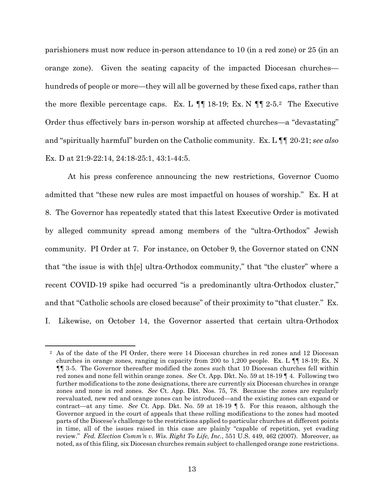parishioners must now reduce in-person attendance to 10 (in a red zone) or 25 (in an orange zone). Given the seating capacity of the impacted Diocesan churches hundreds of people or more—they will all be governed by these fixed caps, rather than the more flexible percentage caps. Ex. L  $\P$  18-19; Ex. N  $\P$  12-5.<sup>2</sup> The Executive Order thus effectively bars in-person worship at affected churches—a "devastating" and "spiritually harmful" burden on the Catholic community. Ex. L ¶¶ 20-21; *see also*  Ex. D at 21:9-22:14, 24:18-25:1, 43:1-44:5.

At his press conference announcing the new restrictions, Governor Cuomo admitted that "these new rules are most impactful on houses of worship." Ex. H at 8. The Governor has repeatedly stated that this latest Executive Order is motivated by alleged community spread among members of the "ultra-Orthodox" Jewish community. PI Order at 7. For instance, on October 9, the Governor stated on CNN that "the issue is with th[e] ultra-Orthodox community," that "the cluster" where a recent COVID-19 spike had occurred "is a predominantly ultra-Orthodox cluster," and that "Catholic schools are closed because" of their proximity to "that cluster." Ex. I. Likewise, on October 14, the Governor asserted that certain ultra-Orthodox

 $\overline{a}$ 

<sup>2</sup> As of the date of the PI Order, there were 14 Diocesan churches in red zones and 12 Diocesan churches in orange zones, ranging in capacity from 200 to 1,200 people. Ex. L ¶¶ 18-19; Ex. N ¶¶ 3-5. The Governor thereafter modified the zones such that 10 Diocesan churches fell within red zones and none fell within orange zones. *See* Ct. App. Dkt. No. 59 at 18-19 ¶ 4. Following two further modifications to the zone designations, there are currently six Diocesan churches in orange zones and none in red zones. *See* Ct. App. Dkt. Nos. 75, 78. Because the zones are regularly reevaluated, new red and orange zones can be introduced—and the existing zones can expand or contract—at any time. *See* Ct. App. Dkt. No. 59 at 18-19 ¶ 5. For this reason, although the Governor argued in the court of appeals that these rolling modifications to the zones had mooted parts of the Diocese's challenge to the restrictions applied to particular churches at different points in time, all of the issues raised in this case are plainly "capable of repetition, yet evading review." *Fed. Election Comm'n v. Wis. Right To Life, Inc.*, 551 U.S. 449, 462 (2007). Moreover, as noted, as of this filing, six Diocesan churches remain subject to challenged orange zone restrictions.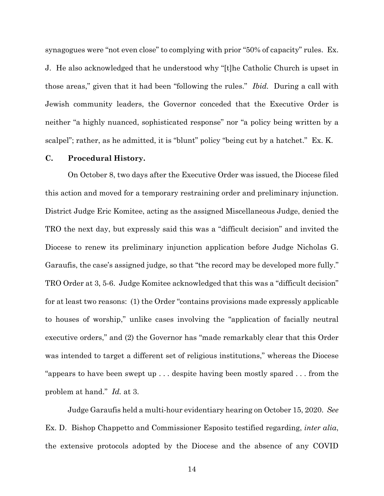synagogues were "not even close" to complying with prior "50% of capacity" rules. Ex. J. He also acknowledged that he understood why "[t]he Catholic Church is upset in those areas," given that it had been "following the rules." *Ibid.* During a call with Jewish community leaders, the Governor conceded that the Executive Order is neither "a highly nuanced, sophisticated response" nor "a policy being written by a scalpel"; rather, as he admitted, it is "blunt" policy "being cut by a hatchet." Ex. K.

#### **C. Procedural History.**

On October 8, two days after the Executive Order was issued, the Diocese filed this action and moved for a temporary restraining order and preliminary injunction. District Judge Eric Komitee, acting as the assigned Miscellaneous Judge, denied the TRO the next day, but expressly said this was a "difficult decision" and invited the Diocese to renew its preliminary injunction application before Judge Nicholas G. Garaufis, the case's assigned judge, so that "the record may be developed more fully." TRO Order at 3, 5-6. Judge Komitee acknowledged that this was a "difficult decision" for at least two reasons: (1) the Order "contains provisions made expressly applicable to houses of worship," unlike cases involving the "application of facially neutral executive orders," and (2) the Governor has "made remarkably clear that this Order was intended to target a different set of religious institutions," whereas the Diocese "appears to have been swept up . . . despite having been mostly spared . . . from the problem at hand." *Id.* at 3.

Judge Garaufis held a multi-hour evidentiary hearing on October 15, 2020. *See*  Ex. D. Bishop Chappetto and Commissioner Esposito testified regarding, *inter alia*, the extensive protocols adopted by the Diocese and the absence of any COVID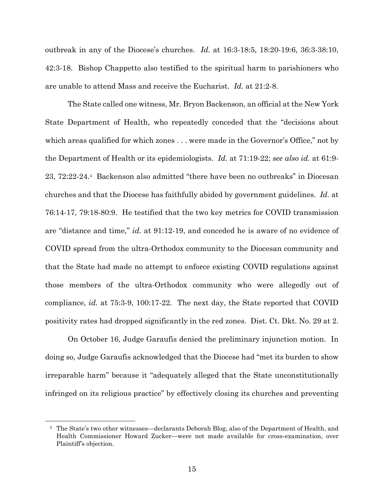outbreak in any of the Diocese's churches. *Id.* at 16:3-18:5, 18:20-19:6, 36:3-38:10, 42:3-18. Bishop Chappetto also testified to the spiritual harm to parishioners who are unable to attend Mass and receive the Eucharist. *Id.* at 21:2-8.

The State called one witness, Mr. Bryon Backenson, an official at the New York State Department of Health, who repeatedly conceded that the "decisions about which areas qualified for which zones . . . were made in the Governor's Office," not by the Department of Health or its epidemiologists. *Id.* at 71:19-22; *see also id.* at 61:9- 23, 72:22-24.3 Backenson also admitted "there have been no outbreaks" in Diocesan churches and that the Diocese has faithfully abided by government guidelines. *Id.* at 76:14-17, 79:18-80:9. He testified that the two key metrics for COVID transmission are "distance and time," *id.* at 91:12-19, and conceded he is aware of no evidence of COVID spread from the ultra-Orthodox community to the Diocesan community and that the State had made no attempt to enforce existing COVID regulations against those members of the ultra-Orthodox community who were allegedly out of compliance, *id.* at 75:3-9, 100:17-22. The next day, the State reported that COVID positivity rates had dropped significantly in the red zones. Dist. Ct. Dkt. No. 29 at 2.

On October 16, Judge Garaufis denied the preliminary injunction motion. In doing so, Judge Garaufis acknowledged that the Diocese had "met its burden to show irreparable harm" because it "adequately alleged that the State unconstitutionally infringed on its religious practice" by effectively closing its churches and preventing

 $\overline{a}$ 

<sup>3</sup> The State's two other witnesses—declarants Deborah Blog, also of the Department of Health, and Health Commissioner Howard Zucker—were not made available for cross-examination, over Plaintiff's objection.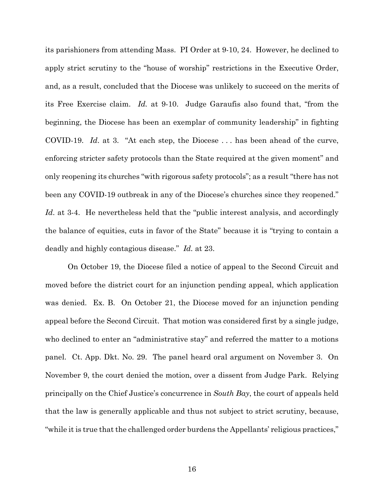its parishioners from attending Mass. PI Order at 9-10, 24. However, he declined to apply strict scrutiny to the "house of worship" restrictions in the Executive Order, and, as a result, concluded that the Diocese was unlikely to succeed on the merits of its Free Exercise claim. *Id.* at 9-10. Judge Garaufis also found that, "from the beginning, the Diocese has been an exemplar of community leadership" in fighting COVID-19. *Id*. at 3. "At each step, the Diocese . . . has been ahead of the curve, enforcing stricter safety protocols than the State required at the given moment" and only reopening its churches "with rigorous safety protocols"; as a result "there has not been any COVID-19 outbreak in any of the Diocese's churches since they reopened." Id. at 3-4. He nevertheless held that the "public interest analysis, and accordingly the balance of equities, cuts in favor of the State" because it is "trying to contain a deadly and highly contagious disease." *Id.* at 23.

On October 19, the Diocese filed a notice of appeal to the Second Circuit and moved before the district court for an injunction pending appeal, which application was denied. Ex. B. On October 21, the Diocese moved for an injunction pending appeal before the Second Circuit. That motion was considered first by a single judge, who declined to enter an "administrative stay" and referred the matter to a motions panel. Ct. App. Dkt. No. 29. The panel heard oral argument on November 3. On November 9, the court denied the motion, over a dissent from Judge Park. Relying principally on the Chief Justice's concurrence in *South Bay*, the court of appeals held that the law is generally applicable and thus not subject to strict scrutiny, because, "while it is true that the challenged order burdens the Appellants' religious practices,"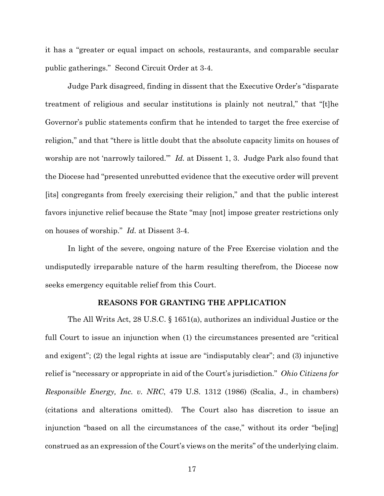it has a "greater or equal impact on schools, restaurants, and comparable secular public gatherings." Second Circuit Order at 3-4.

Judge Park disagreed, finding in dissent that the Executive Order's "disparate treatment of religious and secular institutions is plainly not neutral," that "[t]he Governor's public statements confirm that he intended to target the free exercise of religion," and that "there is little doubt that the absolute capacity limits on houses of worship are not 'narrowly tailored.'" *Id.* at Dissent 1, 3. Judge Park also found that the Diocese had "presented unrebutted evidence that the executive order will prevent [its] congregants from freely exercising their religion," and that the public interest favors injunctive relief because the State "may [not] impose greater restrictions only on houses of worship." *Id.* at Dissent 3-4.

In light of the severe, ongoing nature of the Free Exercise violation and the undisputedly irreparable nature of the harm resulting therefrom, the Diocese now seeks emergency equitable relief from this Court.

#### **REASONS FOR GRANTING THE APPLICATION**

The All Writs Act, 28 U.S.C. § 1651(a), authorizes an individual Justice or the full Court to issue an injunction when (1) the circumstances presented are "critical and exigent"; (2) the legal rights at issue are "indisputably clear"; and (3) injunctive relief is "necessary or appropriate in aid of the Court's jurisdiction." *Ohio Citizens for Responsible Energy, Inc. v. NRC*, 479 U.S. 1312 (1986) (Scalia, J., in chambers) (citations and alterations omitted). The Court also has discretion to issue an injunction "based on all the circumstances of the case," without its order "be[ing] construed as an expression of the Court's views on the merits" of the underlying claim.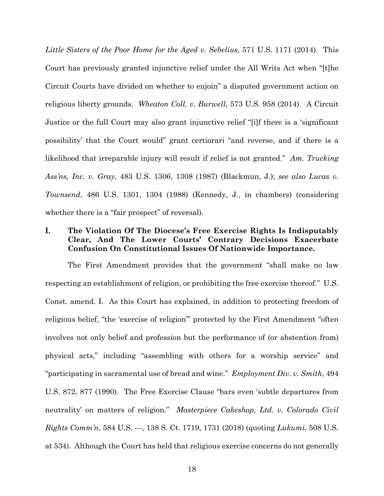*Little Sisters of the Poor Home for the Aged v. Sebelius*, 571 U.S. 1171 (2014). This Court has previously granted injunctive relief under the All Writs Act when "[t]he Circuit Courts have divided on whether to enjoin" a disputed government action on religious liberty grounds. *Wheaton Coll. v. Burwell*, 573 U.S. 958 (2014). A Circuit Justice or the full Court may also grant injunctive relief "[i]f there is a 'significant possibility' that the Court would" grant certiorari "and reverse, and if there is a likelihood that irreparable injury will result if relief is not granted." *Am. Trucking Ass'ns, Inc. v. Gray*, 483 U.S. 1306, 1308 (1987) (Blackmun, J.); *see also Lucas v. Townsend*, 486 U.S. 1301, 1304 (1988) (Kennedy, J., in chambers) (considering whether there is a "fair prospect" of reversal).

# **I. The Violation Of The Diocese's Free Exercise Rights Is Indisputably Clear, And The Lower Courts' Contrary Decisions Exacerbate Confusion On Constitutional Issues Of Nationwide Importance.**

The First Amendment provides that the government "shall make no law respecting an establishment of religion, or prohibiting the free exercise thereof." U.S. Const. amend. I. As this Court has explained, in addition to protecting freedom of religious belief, "the 'exercise of religion'" protected by the First Amendment "often involves not only belief and profession but the performance of (or abstention from) physical acts," including "assembling with others for a worship service" and "participating in sacramental use of bread and wine." *Employment Div. v. Smith*, 494 U.S. 872, 877 (1990). The Free Exercise Clause "bars even 'subtle departures from neutrality' on matters of religion." *Masterpiece Cakeshop, Ltd. v. Colorado Civil Rights Comm'n*, 584 U.S. ---, 138 S. Ct. 1719, 1731 (2018) (quoting *Lukumi*, 508 U.S. at 534). Although the Court has held that religious exercise concerns do not generally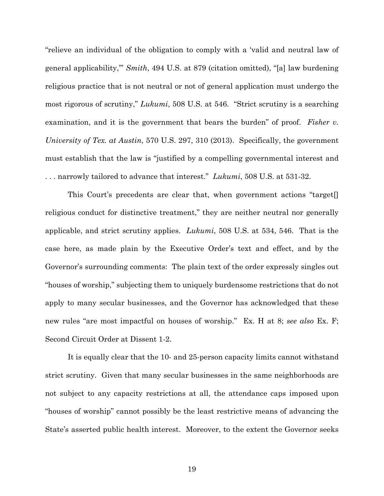"relieve an individual of the obligation to comply with a 'valid and neutral law of general applicability,'" *Smith*, 494 U.S. at 879 (citation omitted), "[a] law burdening religious practice that is not neutral or not of general application must undergo the most rigorous of scrutiny," *Lukumi*, 508 U.S. at 546. "Strict scrutiny is a searching examination, and it is the government that bears the burden" of proof. *Fisher v. University of Tex. at Austin*, 570 U.S. 297, 310 (2013). Specifically, the government must establish that the law is "justified by a compelling governmental interest and . . . narrowly tailored to advance that interest." *Lukumi*, 508 U.S. at 531-32.

 This Court's precedents are clear that, when government actions "target[] religious conduct for distinctive treatment," they are neither neutral nor generally applicable, and strict scrutiny applies. *Lukumi*, 508 U.S. at 534, 546. That is the case here, as made plain by the Executive Order's text and effect, and by the Governor's surrounding comments: The plain text of the order expressly singles out "houses of worship," subjecting them to uniquely burdensome restrictions that do not apply to many secular businesses, and the Governor has acknowledged that these new rules "are most impactful on houses of worship." Ex. H at 8; *see also* Ex. F; Second Circuit Order at Dissent 1-2.

It is equally clear that the 10- and 25-person capacity limits cannot withstand strict scrutiny. Given that many secular businesses in the same neighborhoods are not subject to any capacity restrictions at all, the attendance caps imposed upon "houses of worship" cannot possibly be the least restrictive means of advancing the State's asserted public health interest. Moreover, to the extent the Governor seeks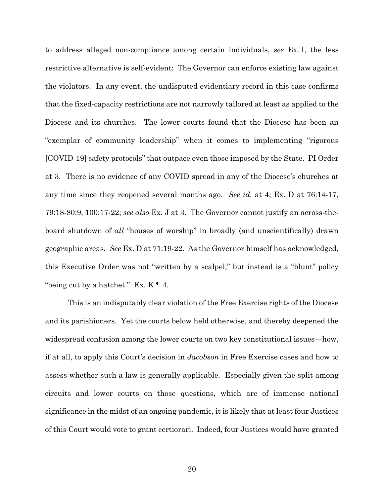to address alleged non-compliance among certain individuals, *see* Ex. I, the less restrictive alternative is self-evident: The Governor can enforce existing law against the violators. In any event, the undisputed evidentiary record in this case confirms that the fixed-capacity restrictions are not narrowly tailored at least as applied to the Diocese and its churches. The lower courts found that the Diocese has been an "exemplar of community leadership" when it comes to implementing "rigorous [COVID-19] safety protocols" that outpace even those imposed by the State. PI Order at 3. There is no evidence of any COVID spread in any of the Diocese's churches at any time since they reopened several months ago. *See id.* at 4; Ex. D at 76:14-17, 79:18-80:9, 100:17-22; *see also* Ex. J at 3. The Governor cannot justify an across-theboard shutdown of *all* "houses of worship" in broadly (and unscientifically) drawn geographic areas. *See* Ex. D at 71:19-22. As the Governor himself has acknowledged, this Executive Order was not "written by a scalpel," but instead is a "blunt" policy "being cut by a hatchet." Ex.  $K \ll 4$ .

This is an indisputably clear violation of the Free Exercise rights of the Diocese and its parishioners. Yet the courts below held otherwise, and thereby deepened the widespread confusion among the lower courts on two key constitutional issues—how, if at all, to apply this Court's decision in *Jacobson* in Free Exercise cases and how to assess whether such a law is generally applicable. Especially given the split among circuits and lower courts on those questions, which are of immense national significance in the midst of an ongoing pandemic, it is likely that at least four Justices of this Court would vote to grant certiorari. Indeed, four Justices would have granted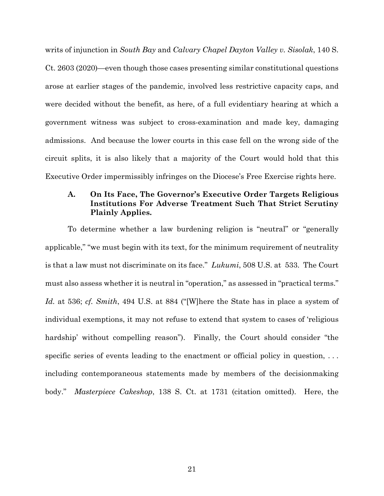writs of injunction in *South Bay* and *Calvary Chapel Dayton Valley v. Sisolak*, 140 S. Ct. 2603 (2020)—even though those cases presenting similar constitutional questions arose at earlier stages of the pandemic, involved less restrictive capacity caps, and were decided without the benefit, as here, of a full evidentiary hearing at which a government witness was subject to cross-examination and made key, damaging admissions. And because the lower courts in this case fell on the wrong side of the circuit splits, it is also likely that a majority of the Court would hold that this Executive Order impermissibly infringes on the Diocese's Free Exercise rights here.

## **A. On Its Face, The Governor's Executive Order Targets Religious Institutions For Adverse Treatment Such That Strict Scrutiny Plainly Applies.**

To determine whether a law burdening religion is "neutral" or "generally applicable," "we must begin with its text, for the minimum requirement of neutrality is that a law must not discriminate on its face." *Lukumi*, 508 U.S. at 533. The Court must also assess whether it is neutral in "operation," as assessed in "practical terms." *Id.* at 536; *cf. Smith*, 494 U.S. at 884 ("[W]here the State has in place a system of individual exemptions, it may not refuse to extend that system to cases of 'religious hardship' without compelling reason"). Finally, the Court should consider "the specific series of events leading to the enactment or official policy in question, ... including contemporaneous statements made by members of the decisionmaking body." *Masterpiece Cakeshop*, 138 S. Ct. at 1731 (citation omitted). Here, the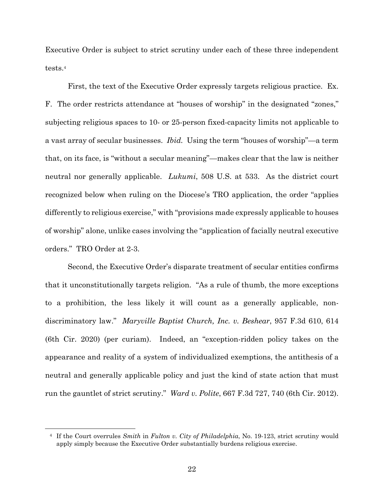Executive Order is subject to strict scrutiny under each of these three independent tests.4

First, the text of the Executive Order expressly targets religious practice. Ex. F. The order restricts attendance at "houses of worship" in the designated "zones," subjecting religious spaces to 10- or 25-person fixed-capacity limits not applicable to a vast array of secular businesses. *Ibid.* Using the term "houses of worship"—a term that, on its face, is "without a secular meaning"—makes clear that the law is neither neutral nor generally applicable. *Lukumi*, 508 U.S. at 533. As the district court recognized below when ruling on the Diocese's TRO application, the order "applies differently to religious exercise," with "provisions made expressly applicable to houses of worship" alone, unlike cases involving the "application of facially neutral executive orders." TRO Order at 2-3.

Second, the Executive Order's disparate treatment of secular entities confirms that it unconstitutionally targets religion. "As a rule of thumb, the more exceptions to a prohibition, the less likely it will count as a generally applicable, nondiscriminatory law." *Maryville Baptist Church, Inc. v. Beshear*, 957 F.3d 610, 614 (6th Cir. 2020) (per curiam). Indeed, an "exception-ridden policy takes on the appearance and reality of a system of individualized exemptions, the antithesis of a neutral and generally applicable policy and just the kind of state action that must run the gauntlet of strict scrutiny." *Ward v. Polite*, 667 F.3d 727, 740 (6th Cir. 2012).

1

<sup>4</sup> If the Court overrules *Smith* in *Fulton v. City of Philadelphia*, No. 19-123, strict scrutiny would apply simply because the Executive Order substantially burdens religious exercise.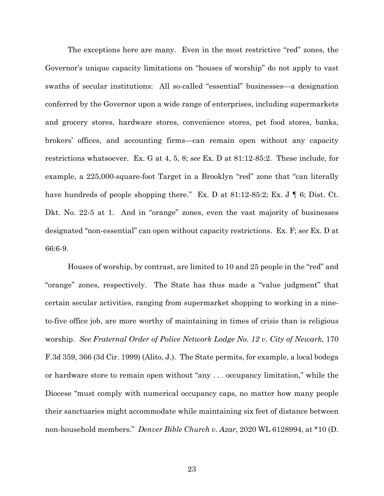The exceptions here are many. Even in the most restrictive "red" zones, the Governor's unique capacity limitations on "houses of worship" do not apply to vast swaths of secular institutions: All so-called "essential" businesses—a designation conferred by the Governor upon a wide range of enterprises, including supermarkets and grocery stores, hardware stores, convenience stores, pet food stores, banks, brokers' offices, and accounting firms—can remain open without any capacity restrictions whatsoever. Ex. G at 4, 5, 8; *see* Ex. D at 81:12-85:2. These include, for example, a 225,000-square-foot Target in a Brooklyn "red" zone that "can literally have hundreds of people shopping there." Ex. D at 81:12-85:2; Ex. J | 6; Dist. Ct. Dkt. No. 22-5 at 1. And in "orange" zones, even the vast majority of businesses designated "non-essential" can open without capacity restrictions. Ex. F; *see* Ex. D at 66:6-9.

Houses of worship, by contrast, are limited to 10 and 25 people in the "red" and "orange" zones, respectively. The State has thus made a "value judgment" that certain secular activities, ranging from supermarket shopping to working in a nineto-five office job, are more worthy of maintaining in times of crisis than is religious worship. *See Fraternal Order of Police Network Lodge No. 12 v. City of Newark*, 170 F.3d 359, 366 (3d Cir. 1999) (Alito, J.). The State permits, for example, a local bodega or hardware store to remain open without "any . . . occupancy limitation," while the Diocese "must comply with numerical occupancy caps, no matter how many people their sanctuaries might accommodate while maintaining six feet of distance between non-household members." *Denver Bible Church v. Azar*, 2020 WL 6128994, at \*10 (D.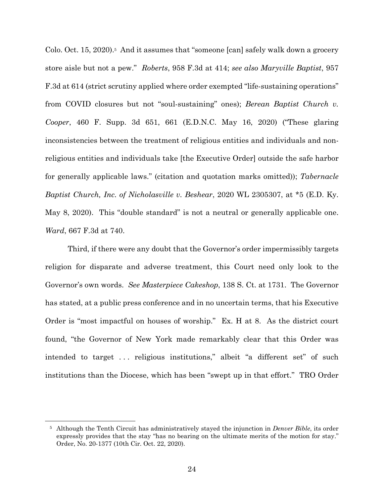Colo. Oct. 15, 2020).<sup>5</sup> And it assumes that "someone [can] safely walk down a grocery store aisle but not a pew." *Roberts*, 958 F.3d at 414; *see also Maryville Baptist*, 957 F.3d at 614 (strict scrutiny applied where order exempted "life-sustaining operations" from COVID closures but not "soul-sustaining" ones); *Berean Baptist Church v. Cooper*, 460 F. Supp. 3d 651, 661 (E.D.N.C. May 16, 2020) ("These glaring inconsistencies between the treatment of religious entities and individuals and nonreligious entities and individuals take [the Executive Order] outside the safe harbor for generally applicable laws." (citation and quotation marks omitted)); *Tabernacle Baptist Church, Inc. of Nicholasville v. Beshear*, 2020 WL 2305307, at \*5 (E.D. Ky. May 8, 2020). This "double standard" is not a neutral or generally applicable one. *Ward*, 667 F.3d at 740.

Third, if there were any doubt that the Governor's order impermissibly targets religion for disparate and adverse treatment, this Court need only look to the Governor's own words. *See Masterpiece Cakeshop*, 138 S. Ct. at 1731. The Governor has stated, at a public press conference and in no uncertain terms, that his Executive Order is "most impactful on houses of worship." Ex. H at 8. As the district court found, "the Governor of New York made remarkably clear that this Order was intended to target . . . religious institutions," albeit "a different set" of such institutions than the Diocese, which has been "swept up in that effort." TRO Order

1

<sup>5</sup> Although the Tenth Circuit has administratively stayed the injunction in *Denver Bible*, its order expressly provides that the stay "has no bearing on the ultimate merits of the motion for stay." Order, No. 20-1377 (10th Cir. Oct. 22, 2020).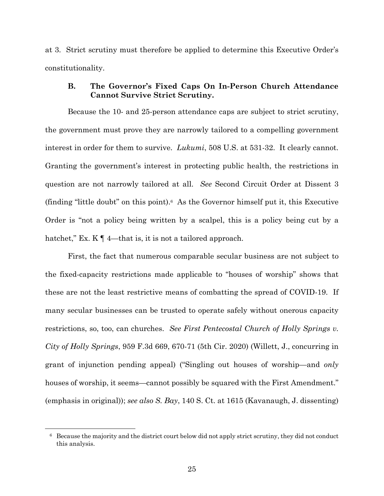at 3. Strict scrutiny must therefore be applied to determine this Executive Order's constitutionality.

# **B. The Governor's Fixed Caps On In-Person Church Attendance Cannot Survive Strict Scrutiny.**

Because the 10- and 25-person attendance caps are subject to strict scrutiny, the government must prove they are narrowly tailored to a compelling government interest in order for them to survive. *Lukumi*, 508 U.S. at 531-32. It clearly cannot. Granting the government's interest in protecting public health, the restrictions in question are not narrowly tailored at all. *See* Second Circuit Order at Dissent 3 (finding "little doubt" on this point).<sup>6</sup> As the Governor himself put it, this Executive Order is "not a policy being written by a scalpel, this is a policy being cut by a hatchet," Ex. K  $\P$  4—that is, it is not a tailored approach.

First, the fact that numerous comparable secular business are not subject to the fixed-capacity restrictions made applicable to "houses of worship" shows that these are not the least restrictive means of combatting the spread of COVID-19. If many secular businesses can be trusted to operate safely without onerous capacity restrictions, so, too, can churches. *See First Pentecostal Church of Holly Springs v. City of Holly Springs*, 959 F.3d 669, 670-71 (5th Cir. 2020) (Willett, J., concurring in grant of injunction pending appeal) ("Singling out houses of worship—and *only* houses of worship, it seems—cannot possibly be squared with the First Amendment." (emphasis in original)); *see also S. Bay*, 140 S. Ct. at 1615 (Kavanaugh, J. dissenting)

 $\overline{a}$ 

<sup>6</sup> Because the majority and the district court below did not apply strict scrutiny, they did not conduct this analysis.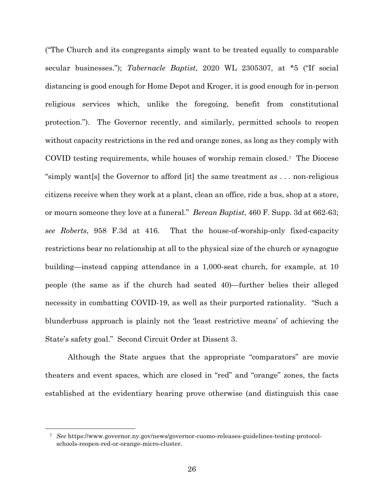("The Church and its congregants simply want to be treated equally to comparable secular businesses."); *Tabernacle Baptist*, 2020 WL 2305307, at \*5 ("If social distancing is good enough for Home Depot and Kroger, it is good enough for in-person religious services which, unlike the foregoing, benefit from constitutional protection."). The Governor recently, and similarly, permitted schools to reopen without capacity restrictions in the red and orange zones, as long as they comply with COVID testing requirements, while houses of worship remain closed.7 The Diocese "simply want[s] the Governor to afford [it] the same treatment as . . . non-religious citizens receive when they work at a plant, clean an office, ride a bus, shop at a store, or mourn someone they love at a funeral." *Berean Baptist*, 460 F. Supp. 3d at 662-63; *see Roberts*, 958 F.3d at 416. That the house-of-worship-only fixed-capacity restrictions bear no relationship at all to the physical size of the church or synagogue building—instead capping attendance in a 1,000-seat church, for example, at 10 people (the same as if the church had seated 40)—further belies their alleged necessity in combatting COVID-19, as well as their purported rationality. "Such a blunderbuss approach is plainly not the 'least restrictive means' of achieving the State's safety goal." Second Circuit Order at Dissent 3.

Although the State argues that the appropriate "comparators" are movie theaters and event spaces, which are closed in "red" and "orange" zones, the facts established at the evidentiary hearing prove otherwise (and distinguish this case

 $\overline{a}$ 

<sup>7</sup> *See* https://www.governor.ny.gov/news/governor-cuomo-releases-guidelines-testing-protocolschools-reopen-red-or-orange-micro-cluster.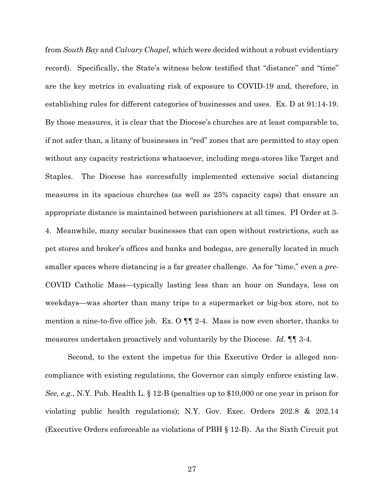from *South Bay* and *Calvary Chapel*, which were decided without a robust evidentiary record). Specifically, the State's witness below testified that "distance" and "time" are the key metrics in evaluating risk of exposure to COVID-19 and, therefore, in establishing rules for different categories of businesses and uses. Ex. D at 91:14-19. By those measures, it is clear that the Diocese's churches are at least comparable to, if not safer than, a litany of businesses in "red" zones that are permitted to stay open without any capacity restrictions whatsoever, including mega-stores like Target and Staples. The Diocese has successfully implemented extensive social distancing measures in its spacious churches (as well as 25% capacity caps) that ensure an appropriate distance is maintained between parishioners at all times. PI Order at 3- 4. Meanwhile, many secular businesses that can open without restrictions, such as pet stores and broker's offices and banks and bodegas, are generally located in much smaller spaces where distancing is a far greater challenge. As for "time," even a *pre*-COVID Catholic Mass—typically lasting less than an hour on Sundays, less on weekdays—was shorter than many trips to a supermarket or big-box store, not to mention a nine-to-five office job. Ex. O  $\P$  2-4. Mass is now even shorter, thanks to measures undertaken proactively and voluntarily by the Diocese. *Id.* ¶¶ 3-4.

Second, to the extent the impetus for this Executive Order is alleged noncompliance with existing regulations, the Governor can simply enforce existing law. *See, e.g.*, N.Y. Pub. Health L. § 12-B (penalties up to \$10,000 or one year in prison for violating public health regulations); N.Y. Gov. Exec. Orders 202.8 & 202.14 (Executive Orders enforceable as violations of PBH § 12-B). As the Sixth Circuit put

27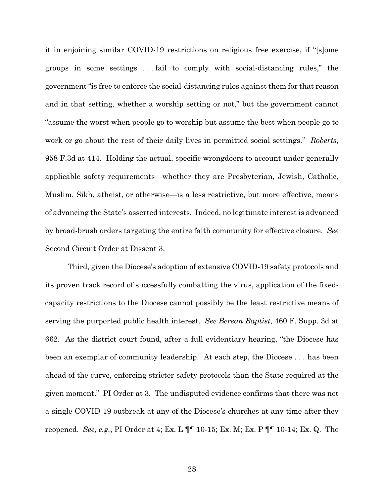it in enjoining similar COVID-19 restrictions on religious free exercise, if "[s]ome groups in some settings . . . fail to comply with social-distancing rules," the government "is free to enforce the social-distancing rules against them for that reason and in that setting, whether a worship setting or not," but the government cannot "assume the worst when people go to worship but assume the best when people go to work or go about the rest of their daily lives in permitted social settings." *Roberts*, 958 F.3d at 414. Holding the actual, specific wrongdoers to account under generally applicable safety requirements—whether they are Presbyterian, Jewish, Catholic, Muslim, Sikh, atheist, or otherwise—is a less restrictive, but more effective, means of advancing the State's asserted interests. Indeed, no legitimate interest is advanced by broad-brush orders targeting the entire faith community for effective closure. *See* Second Circuit Order at Dissent 3.

Third, given the Diocese's adoption of extensive COVID-19 safety protocols and its proven track record of successfully combatting the virus, application of the fixedcapacity restrictions to the Diocese cannot possibly be the least restrictive means of serving the purported public health interest. *See Berean Baptist*, 460 F. Supp. 3d at 662. As the district court found, after a full evidentiary hearing, "the Diocese has been an exemplar of community leadership. At each step, the Diocese . . . has been ahead of the curve, enforcing stricter safety protocols than the State required at the given moment." PI Order at 3. The undisputed evidence confirms that there was not a single COVID-19 outbreak at any of the Diocese's churches at any time after they reopened. *See, e.g.*, PI Order at 4; Ex. L ¶¶ 10-15; Ex. M; Ex. P ¶¶ 10-14; Ex. Q. The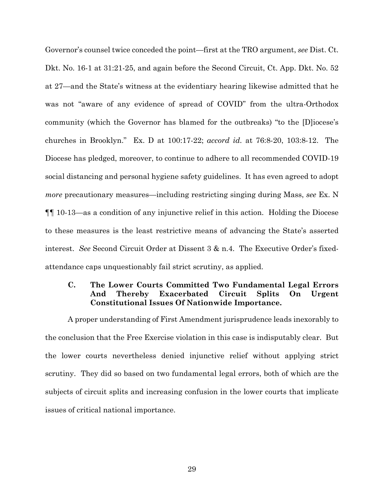Governor's counsel twice conceded the point—first at the TRO argument, *see* Dist. Ct. Dkt. No. 16-1 at 31:21-25, and again before the Second Circuit, Ct. App. Dkt. No. 52 at 27—and the State's witness at the evidentiary hearing likewise admitted that he was not "aware of any evidence of spread of COVID" from the ultra-Orthodox community (which the Governor has blamed for the outbreaks) "to the [D]iocese's churches in Brooklyn." Ex. D at 100:17-22; *accord id.* at 76:8-20, 103:8-12. The Diocese has pledged, moreover, to continue to adhere to all recommended COVID-19 social distancing and personal hygiene safety guidelines. It has even agreed to adopt *more* precautionary measures—including restricting singing during Mass, *see* Ex. N ¶¶ 10-13—as a condition of any injunctive relief in this action. Holding the Diocese to these measures is the least restrictive means of advancing the State's asserted interest. *See* Second Circuit Order at Dissent 3 & n.4. The Executive Order's fixedattendance caps unquestionably fail strict scrutiny, as applied.

# **C. The Lower Courts Committed Two Fundamental Legal Errors And Thereby Exacerbated Circuit Splits On Urgent Constitutional Issues Of Nationwide Importance.**

A proper understanding of First Amendment jurisprudence leads inexorably to the conclusion that the Free Exercise violation in this case is indisputably clear. But the lower courts nevertheless denied injunctive relief without applying strict scrutiny. They did so based on two fundamental legal errors, both of which are the subjects of circuit splits and increasing confusion in the lower courts that implicate issues of critical national importance.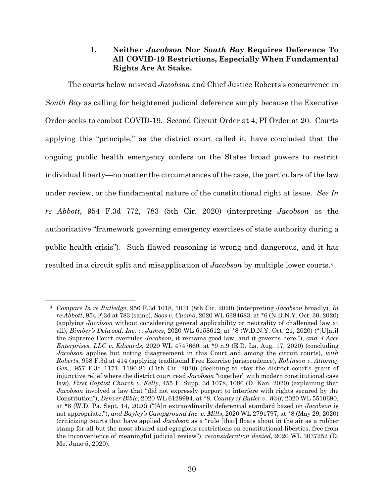# **1. Neither** *Jacobson* **Nor** *South Bay* **Requires Deference To All COVID-19 Restrictions, Especially When Fundamental Rights Are At Stake.**

The courts below misread *Jacobson* and Chief Justice Roberts's concurrence in *South Bay* as calling for heightened judicial deference simply because the Executive Order seeks to combat COVID-19. Second Circuit Order at 4; PI Order at 20. Courts applying this "principle," as the district court called it, have concluded that the ongoing public health emergency confers on the States broad powers to restrict individual liberty—no matter the circumstances of the case, the particulars of the law under review, or the fundamental nature of the constitutional right at issue. *See In re Abbott*, 954 F.3d 772, 783 (5th Cir. 2020) (interpreting *Jacobson* as the authoritative "framework governing emergency exercises of state authority during a public health crisis"). Such flawed reasoning is wrong and dangerous, and it has resulted in a circuit split and misapplication of *Jacobson* by multiple lower courts.8

1

<sup>8</sup> *Compare In re Rutledge*, 956 F.3d 1018, 1031 (8th Cir. 2020) (interpreting *Jacobson* broadly), *In re Abbott*, 954 F.3d at 783 (same), *Soos v. Cuomo*, 2020 WL 6384683, at \*6 (N.D.N.Y. Oct. 30, 2020) (applying *Jacobson* without considering general applicability or neutrality of challenged law at all), *Bimber's Delwood, Inc. v. James*, 2020 WL 6158612, at \*8 (W.D.N.Y. Oct. 21, 2020) ("[U]ntil the Supreme Court overrules *Jacobson*, it remains good law, and it governs here."), *and 4 Aces Enterprises, LLC v. Edwards*, 2020 WL 4747660, at \*9 n.9 (E.D. La. Aug. 17, 2020) (concluding *Jacobson* applies but noting disagreement in this Court and among the circuit courts), *with Roberts*, 958 F.3d at 414 (applying traditional Free Exercise jurisprudence), *Robinson v. Attorney Gen.*, 957 F.3d 1171, 1180-81 (11th Cir. 2020) (declining to stay the district court's grant of injunctive relief where the district court read *Jacobson* "together" with modern constitutional case law), *First Baptist Church v. Kelly*, 455 F. Supp. 3d 1078, 1086 (D. Kan. 2020) (explaining that *Jacobson* involved a law that "did not expressly purport to interfere with rights secured by the Constitution"), *Denver Bible*, 2020 WL 6128994, at \*8, *County of Butler v. Wolf*, 2020 WL 5510690, at \*8 (W.D. Pa. Sept. 14, 2020) ("[A]n extraordinarily deferential standard based on *Jacobson* is not appropriate."), *and Bayley's Campground Inc. v. Mills*, 2020 WL 2791797, at \*8 (May 29, 2020) (criticizing courts that have applied *Jacobson* as a "rule [that] floats about in the air as a rubber stamp for all but the most absurd and egregious restrictions on constitutional liberties, free from the inconvenience of meaningful judicial review"), *reconsideration denied*, 2020 WL 3037252 (D. Me. June 5, 2020).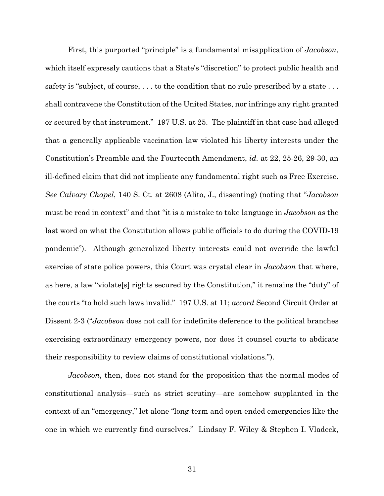First, this purported "principle" is a fundamental misapplication of *Jacobson*, which itself expressly cautions that a State's "discretion" to protect public health and safety is "subject, of course, ... to the condition that no rule prescribed by a state ... shall contravene the Constitution of the United States, nor infringe any right granted or secured by that instrument." 197 U.S. at 25. The plaintiff in that case had alleged that a generally applicable vaccination law violated his liberty interests under the Constitution's Preamble and the Fourteenth Amendment, *id.* at 22, 25-26, 29-30, an ill-defined claim that did not implicate any fundamental right such as Free Exercise. *See Calvary Chapel*, 140 S. Ct. at 2608 (Alito, J., dissenting) (noting that "*Jacobson* must be read in context" and that "it is a mistake to take language in *Jacobson* as the last word on what the Constitution allows public officials to do during the COVID-19 pandemic"). Although generalized liberty interests could not override the lawful exercise of state police powers, this Court was crystal clear in *Jacobson* that where, as here, a law "violate[s] rights secured by the Constitution," it remains the "duty" of the courts "to hold such laws invalid." 197 U.S. at 11; *accord* Second Circuit Order at Dissent 2-3 ("*Jacobson* does not call for indefinite deference to the political branches exercising extraordinary emergency powers, nor does it counsel courts to abdicate their responsibility to review claims of constitutional violations.").

*Jacobson*, then, does not stand for the proposition that the normal modes of constitutional analysis—such as strict scrutiny—are somehow supplanted in the context of an "emergency," let alone "long-term and open-ended emergencies like the one in which we currently find ourselves." Lindsay F. Wiley & Stephen I. Vladeck,

31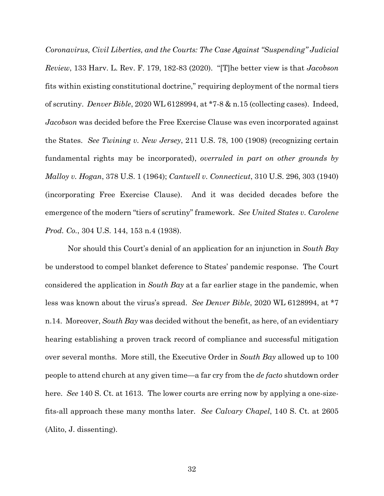*Coronavirus, Civil Liberties, and the Courts: The Case Against "Suspending" Judicial Review*, 133 Harv. L. Rev. F. 179, 182-83 (2020). "[T]he better view is that *Jacobson* fits within existing constitutional doctrine," requiring deployment of the normal tiers of scrutiny. *Denver Bible*, 2020 WL 6128994, at \*7-8 & n.15 (collecting cases). Indeed, *Jacobson* was decided before the Free Exercise Clause was even incorporated against the States. *See Twining v. New Jersey*, 211 U.S. 78, 100 (1908) (recognizing certain fundamental rights may be incorporated), *overruled in part on other grounds by Malloy v. Hogan*, 378 U.S. 1 (1964); *Cantwell v. Connecticut*, 310 U.S. 296, 303 (1940) (incorporating Free Exercise Clause). And it was decided decades before the emergence of the modern "tiers of scrutiny" framework. *See United States v. Carolene Prod. Co.*, 304 U.S. 144, 153 n.4 (1938).

Nor should this Court's denial of an application for an injunction in *South Bay* be understood to compel blanket deference to States' pandemic response. The Court considered the application in *South Bay* at a far earlier stage in the pandemic, when less was known about the virus's spread. *See Denver Bible*, 2020 WL 6128994, at \*7 n.14. Moreover, *South Bay* was decided without the benefit, as here, of an evidentiary hearing establishing a proven track record of compliance and successful mitigation over several months. More still, the Executive Order in *South Bay* allowed up to 100 people to attend church at any given time—a far cry from the *de facto* shutdown order here. *See* 140 S. Ct. at 1613. The lower courts are erring now by applying a one-sizefits-all approach these many months later. *See Calvary Chapel*, 140 S. Ct. at 2605 (Alito, J. dissenting).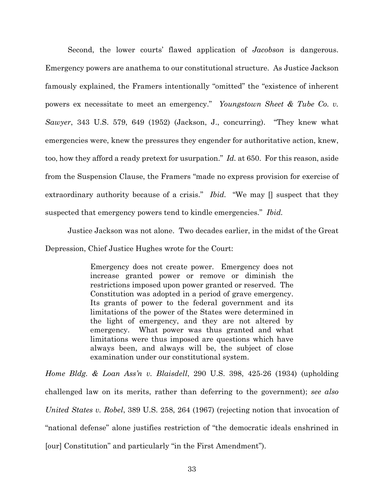Second, the lower courts' flawed application of *Jacobson* is dangerous. Emergency powers are anathema to our constitutional structure. As Justice Jackson famously explained, the Framers intentionally "omitted" the "existence of inherent powers ex necessitate to meet an emergency." *Youngstown Sheet & Tube Co. v. Sawyer*, 343 U.S. 579, 649 (1952) (Jackson, J., concurring). "They knew what emergencies were, knew the pressures they engender for authoritative action, knew, too, how they afford a ready pretext for usurpation." *Id.* at 650. For this reason, aside from the Suspension Clause, the Framers "made no express provision for exercise of extraordinary authority because of a crisis." *Ibid.* "We may [] suspect that they suspected that emergency powers tend to kindle emergencies." *Ibid.*

Justice Jackson was not alone. Two decades earlier, in the midst of the Great Depression, Chief Justice Hughes wrote for the Court:

> Emergency does not create power. Emergency does not increase granted power or remove or diminish the restrictions imposed upon power granted or reserved. The Constitution was adopted in a period of grave emergency. Its grants of power to the federal government and its limitations of the power of the States were determined in the light of emergency, and they are not altered by emergency. What power was thus granted and what limitations were thus imposed are questions which have always been, and always will be, the subject of close examination under our constitutional system.

*Home Bldg. & Loan Ass'n v. Blaisdell*, 290 U.S. 398, 425-26 (1934) (upholding challenged law on its merits, rather than deferring to the government); *see also United States v. Robel*, 389 U.S. 258, 264 (1967) (rejecting notion that invocation of "national defense" alone justifies restriction of "the democratic ideals enshrined in [our] Constitution" and particularly "in the First Amendment").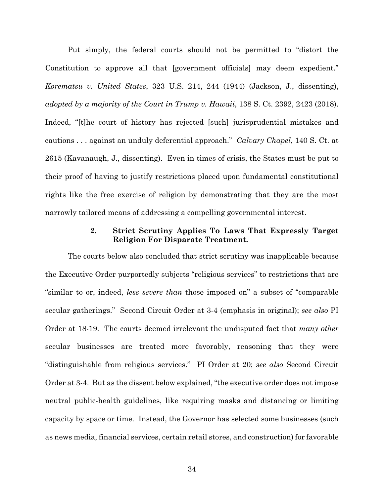Put simply, the federal courts should not be permitted to "distort the Constitution to approve all that [government officials] may deem expedient." *Korematsu v. United States*, 323 U.S. 214, 244 (1944) (Jackson, J., dissenting), *adopted by a majority of the Court in Trump v. Hawaii*, 138 S. Ct. 2392, 2423 (2018). Indeed, "[t]he court of history has rejected [such] jurisprudential mistakes and cautions . . . against an unduly deferential approach." *Calvary Chapel*, 140 S. Ct. at 2615 (Kavanaugh, J., dissenting). Even in times of crisis, the States must be put to their proof of having to justify restrictions placed upon fundamental constitutional rights like the free exercise of religion by demonstrating that they are the most narrowly tailored means of addressing a compelling governmental interest.

# **2. Strict Scrutiny Applies To Laws That Expressly Target Religion For Disparate Treatment.**

The courts below also concluded that strict scrutiny was inapplicable because the Executive Order purportedly subjects "religious services" to restrictions that are "similar to or, indeed, *less severe than* those imposed on" a subset of "comparable secular gatherings." Second Circuit Order at 3-4 (emphasis in original); *see also* PI Order at 18-19. The courts deemed irrelevant the undisputed fact that *many other*  secular businesses are treated more favorably, reasoning that they were "distinguishable from religious services." PI Order at 20; *see also* Second Circuit Order at 3-4. But as the dissent below explained, "the executive order does not impose neutral public-health guidelines, like requiring masks and distancing or limiting capacity by space or time. Instead, the Governor has selected some businesses (such as news media, financial services, certain retail stores, and construction) for favorable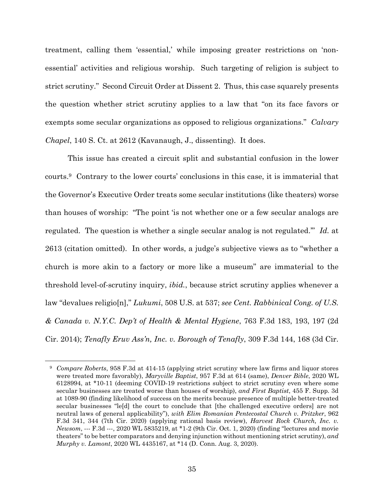treatment, calling them 'essential,' while imposing greater restrictions on 'nonessential' activities and religious worship. Such targeting of religion is subject to strict scrutiny." Second Circuit Order at Dissent 2. Thus, this case squarely presents the question whether strict scrutiny applies to a law that "on its face favors or exempts some secular organizations as opposed to religious organizations." *Calvary Chapel*, 140 S. Ct. at 2612 (Kavanaugh, J., dissenting). It does.

This issue has created a circuit split and substantial confusion in the lower courts.9 Contrary to the lower courts' conclusions in this case, it is immaterial that the Governor's Executive Order treats some secular institutions (like theaters) worse than houses of worship: "The point 'is not whether one or a few secular analogs are regulated. The question is whether a single secular analog is not regulated.'" *Id.* at 2613 (citation omitted). In other words, a judge's subjective views as to "whether a church is more akin to a factory or more like a museum" are immaterial to the threshold level-of-scrutiny inquiry, *ibid.*, because strict scrutiny applies whenever a law "devalues religio[n]," *Lukumi*, 508 U.S. at 537; *see Cent. Rabbinical Cong. of U.S. & Canada v. N.Y.C. Dep't of Health & Mental Hygiene*, 763 F.3d 183, 193, 197 (2d Cir. 2014); *Tenafly Eruv Ass'n, Inc. v. Borough of Tenafly*, 309 F.3d 144, 168 (3d Cir.

1

<sup>9</sup> *Compare Roberts*, 958 F.3d at 414-15 (applying strict scrutiny where law firms and liquor stores were treated more favorably), *Maryville Baptist*, 957 F.3d at 614 (same), *Denver Bible*, 2020 WL 6128994, at \*10-11 (deeming COVID-19 restrictions subject to strict scrutiny even where some secular businesses are treated worse than houses of worship), *and First Baptist*, 455 F. Supp. 3d at 1089-90 (finding likelihood of success on the merits because presence of multiple better-treated secular businesses "le[d] the court to conclude that [the challenged executive orders] are not neutral laws of general applicability"), *with Elim Romanian Pentecostal Church v. Pritzker*, 962 F.3d 341, 344 (7th Cir. 2020) (applying rational basis review), *Harvest Rock Church, Inc. v. Newsom*, --- F.3d ---, 2020 WL 5835219, at \*1-2 (9th Cir. Oct. 1, 2020) (finding "lectures and movie theaters" to be better comparators and denying injunction without mentioning strict scrutiny), *and Murphy v. Lamont*, 2020 WL 4435167, at \*14 (D. Conn. Aug. 3, 2020).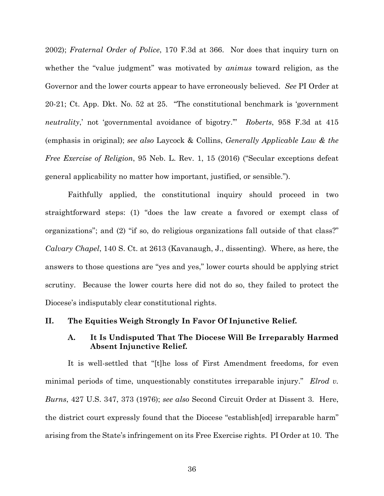2002); *Fraternal Order of Police*, 170 F.3d at 366. Nor does that inquiry turn on whether the "value judgment" was motivated by *animus* toward religion, as the Governor and the lower courts appear to have erroneously believed. *See* PI Order at 20-21; Ct. App. Dkt. No. 52 at 25. "The constitutional benchmark is 'government *neutrality*,' not 'governmental avoidance of bigotry.'" *Roberts*, 958 F.3d at 415 (emphasis in original); *see also* Laycock & Collins, *Generally Applicable Law & the Free Exercise of Religion*, 95 Neb. L. Rev. 1, 15 (2016) ("Secular exceptions defeat general applicability no matter how important, justified, or sensible.").

Faithfully applied, the constitutional inquiry should proceed in two straightforward steps: (1) "does the law create a favored or exempt class of organizations"; and (2) "if so, do religious organizations fall outside of that class?" *Calvary Chapel*, 140 S. Ct. at 2613 (Kavanaugh, J., dissenting). Where, as here, the answers to those questions are "yes and yes," lower courts should be applying strict scrutiny. Because the lower courts here did not do so, they failed to protect the Diocese's indisputably clear constitutional rights.

#### **II. The Equities Weigh Strongly In Favor Of Injunctive Relief.**

## **A. It Is Undisputed That The Diocese Will Be Irreparably Harmed Absent Injunctive Relief.**

It is well-settled that "[t]he loss of First Amendment freedoms, for even minimal periods of time, unquestionably constitutes irreparable injury." *Elrod v. Burns*, 427 U.S. 347, 373 (1976); *see also* Second Circuit Order at Dissent 3. Here, the district court expressly found that the Diocese "establish[ed] irreparable harm" arising from the State's infringement on its Free Exercise rights. PI Order at 10. The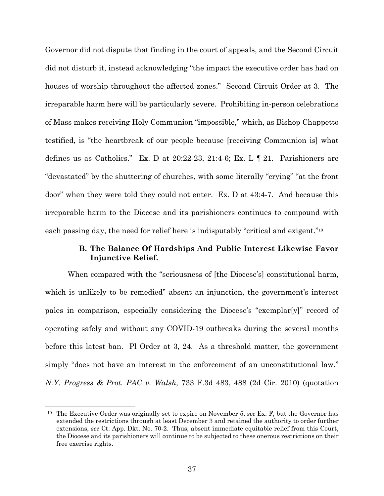Governor did not dispute that finding in the court of appeals, and the Second Circuit did not disturb it, instead acknowledging "the impact the executive order has had on houses of worship throughout the affected zones." Second Circuit Order at 3. The irreparable harm here will be particularly severe. Prohibiting in-person celebrations of Mass makes receiving Holy Communion "impossible," which, as Bishop Chappetto testified, is "the heartbreak of our people because [receiving Communion is] what defines us as Catholics." Ex. D at 20:22-23, 21:4-6; Ex. L  $\P$  21. Parishioners are "devastated" by the shuttering of churches, with some literally "crying" "at the front door" when they were told they could not enter. Ex. D at 43:4-7. And because this irreparable harm to the Diocese and its parishioners continues to compound with each passing day, the need for relief here is indisputably "critical and exigent."10

# **B. The Balance Of Hardships And Public Interest Likewise Favor Injunctive Relief.**

When compared with the "seriousness of [the Diocese's] constitutional harm, which is unlikely to be remedied" absent an injunction, the government's interest pales in comparison, especially considering the Diocese's "exemplar[y]" record of operating safely and without any COVID-19 outbreaks during the several months before this latest ban. Pl Order at 3, 24. As a threshold matter, the government simply "does not have an interest in the enforcement of an unconstitutional law." *N.Y. Progress & Prot. PAC v. Walsh*, 733 F.3d 483, 488 (2d Cir. 2010) (quotation

1

<sup>10</sup> The Executive Order was originally set to expire on November 5, *see* Ex. F, but the Governor has extended the restrictions through at least December 3 and retained the authority to order further extensions, *see* Ct. App. Dkt. No. 70-2. Thus, absent immediate equitable relief from this Court, the Diocese and its parishioners will continue to be subjected to these onerous restrictions on their free exercise rights.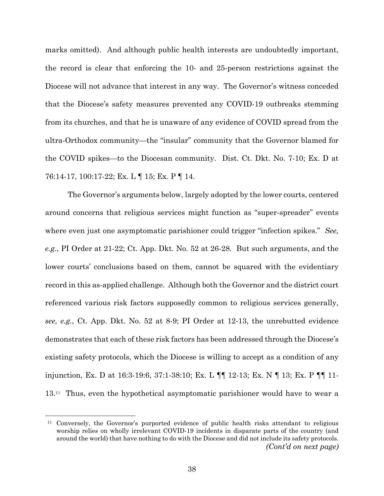marks omitted). And although public health interests are undoubtedly important, the record is clear that enforcing the 10- and 25-person restrictions against the Diocese will not advance that interest in any way. The Governor's witness conceded that the Diocese's safety measures prevented any COVID-19 outbreaks stemming from its churches, and that he is unaware of any evidence of COVID spread from the ultra-Orthodox community—the "insular" community that the Governor blamed for the COVID spikes—to the Diocesan community. Dist. Ct. Dkt. No. 7-10; Ex. D at 76:14-17, 100:17-22; Ex. L ¶ 15; Ex. P ¶ 14.

The Governor's arguments below, largely adopted by the lower courts, centered around concerns that religious services might function as "super-spreader" events where even just one asymptomatic parishioner could trigger "infection spikes." *See, e.g.*, PI Order at 21-22; Ct. App. Dkt. No. 52 at 26-28. But such arguments, and the lower courts' conclusions based on them, cannot be squared with the evidentiary record in this as-applied challenge. Although both the Governor and the district court referenced various risk factors supposedly common to religious services generally, *see, e.g.*, Ct. App. Dkt. No. 52 at 8-9; PI Order at 12-13, the unrebutted evidence demonstrates that each of these risk factors has been addressed through the Diocese's existing safety protocols, which the Diocese is willing to accept as a condition of any injunction, Ex. D at 16:3-19:6, 37:1-38:10; Ex. L ¶¶ 12-13; Ex. N ¶ 13; Ex. P ¶¶ 11- 13.11 Thus, even the hypothetical asymptomatic parishioner would have to wear a

 $\overline{a}$ 

<sup>&</sup>lt;sup>11</sup> Conversely, the Governor's purported evidence of public health risks attendant to religious worship relies on wholly irrelevant COVID-19 incidents in disparate parts of the country (and around the world) that have nothing to do with the Diocese and did not include its safety protocols. *(Cont'd on next page)*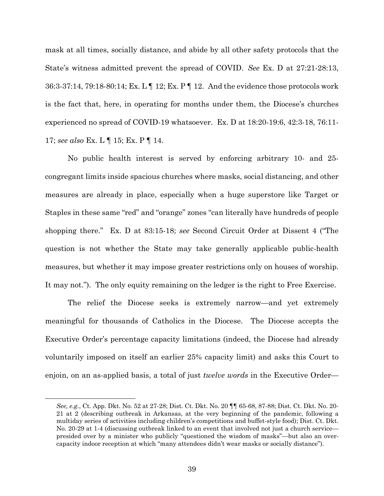mask at all times, socially distance, and abide by all other safety protocols that the State's witness admitted prevent the spread of COVID. *See* Ex. D at 27:21-28:13, 36:3-37:14, 79:18-80:14; Ex. L ¶ 12; Ex. P ¶ 12. And the evidence those protocols work is the fact that, here, in operating for months under them, the Diocese's churches experienced no spread of COVID-19 whatsoever. Ex. D at 18:20-19:6, 42:3-18, 76:11- 17; *see also* Ex. L ¶ 15; Ex. P ¶ 14.

No public health interest is served by enforcing arbitrary 10- and 25 congregant limits inside spacious churches where masks, social distancing, and other measures are already in place, especially when a huge superstore like Target or Staples in these same "red" and "orange" zones "can literally have hundreds of people shopping there." Ex. D at 83:15-18; *see* Second Circuit Order at Dissent 4 ("The question is not whether the State may take generally applicable public-health measures, but whether it may impose greater restrictions only on houses of worship. It may not."). The only equity remaining on the ledger is the right to Free Exercise.

The relief the Diocese seeks is extremely narrow—and yet extremely meaningful for thousands of Catholics in the Diocese. The Diocese accepts the Executive Order's percentage capacity limitations (indeed, the Diocese had already voluntarily imposed on itself an earlier 25% capacity limit) and asks this Court to enjoin, on an as-applied basis, a total of just *twelve words* in the Executive Order—

 $\overline{a}$ 

*See, e.g.*, Ct. App. Dkt. No. 52 at 27-28; Dist. Ct. Dkt. No. 20 ¶¶ 65-68, 87-88; Dist. Ct. Dkt. No. 20- 21 at 2 (describing outbreak in Arkansas, at the very beginning of the pandemic, following a multiday series of activities including children's competitions and buffet-style food); Dist. Ct. Dkt. No. 20-29 at 1-4 (discussing outbreak linked to an event that involved not just a church service presided over by a minister who publicly "questioned the wisdom of masks"—but also an overcapacity indoor reception at which "many attendees didn't wear masks or socially distance").